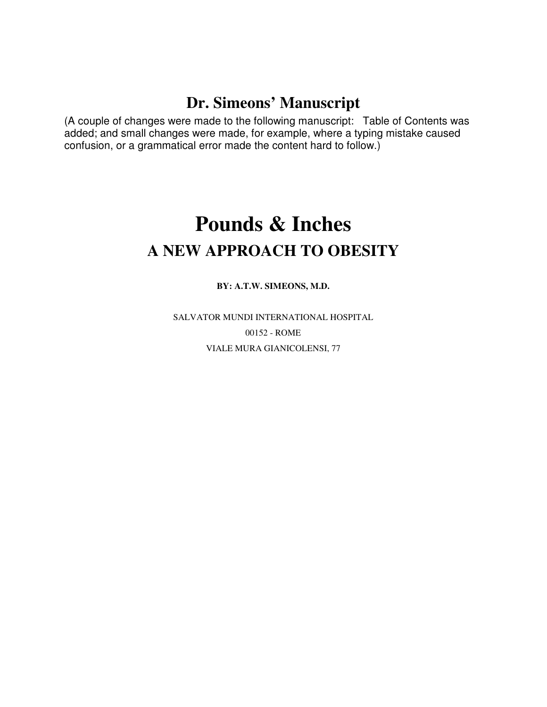# **Dr. Simeons' Manuscript**

(A couple of changes were made to the following manuscript: Table of Contents was added; and small changes were made, for example, where a typing mistake caused confusion, or a grammatical error made the content hard to follow.)

# **Pounds & Inches A NEW APPROACH TO OBESITY**

**BY: A.T.W. SIMEONS, M.D.** 

SALVATOR MUNDI INTERNATIONAL HOSPITAL 00152 - ROME VIALE MURA GIANICOLENSI, 77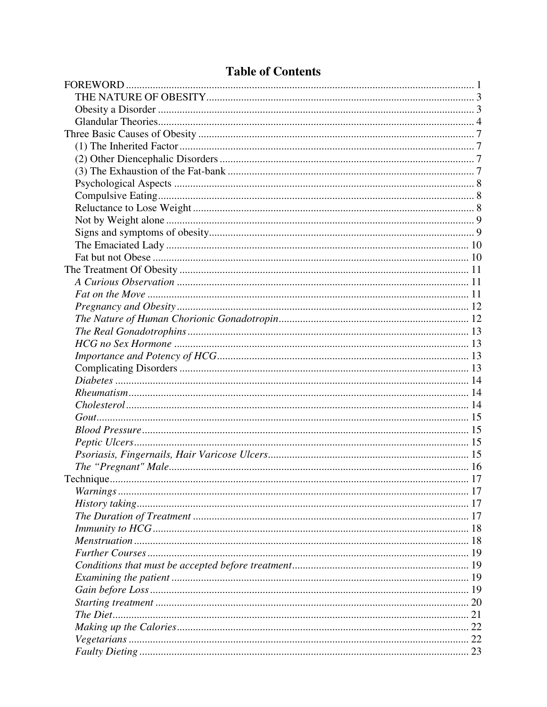#### **Table of Contents**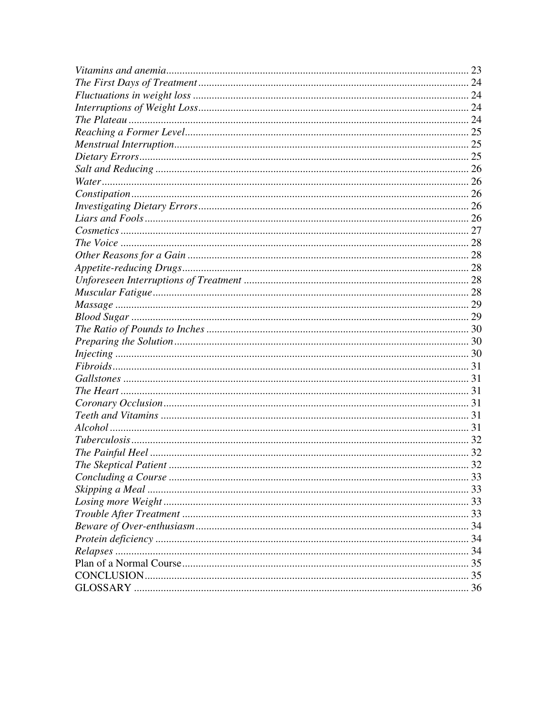| 23 |
|----|
|    |
|    |
|    |
|    |
|    |
|    |
|    |
|    |
|    |
|    |
|    |
|    |
|    |
|    |
|    |
|    |
|    |
|    |
|    |
|    |
|    |
|    |
|    |
|    |
|    |
|    |
|    |
|    |
|    |
|    |
|    |
|    |
|    |
|    |
|    |
|    |
|    |
|    |
|    |
|    |
|    |
|    |
|    |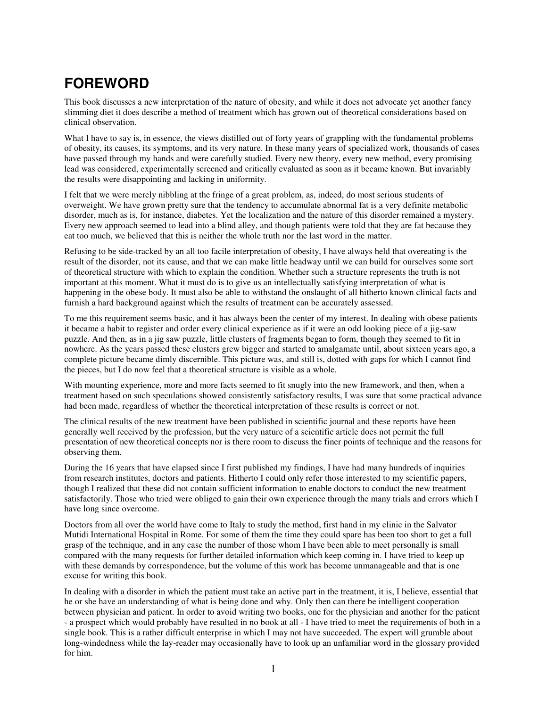# **FOREWORD**

This book discusses a new interpretation of the nature of obesity, and while it does not advocate yet another fancy slimming diet it does describe a method of treatment which has grown out of theoretical considerations based on clinical observation.

What I have to say is, in essence, the views distilled out of forty years of grappling with the fundamental problems of obesity, its causes, its symptoms, and its very nature. In these many years of specialized work, thousands of cases have passed through my hands and were carefully studied. Every new theory, every new method, every promising lead was considered, experimentally screened and critically evaluated as soon as it became known. But invariably the results were disappointing and lacking in uniformity.

I felt that we were merely nibbling at the fringe of a great problem, as, indeed, do most serious students of overweight. We have grown pretty sure that the tendency to accumulate abnormal fat is a very definite metabolic disorder, much as is, for instance, diabetes. Yet the localization and the nature of this disorder remained a mystery. Every new approach seemed to lead into a blind alley, and though patients were told that they are fat because they eat too much, we believed that this is neither the whole truth nor the last word in the matter.

Refusing to be side-tracked by an all too facile interpretation of obesity, I have always held that overeating is the result of the disorder, not its cause, and that we can make little headway until we can build for ourselves some sort of theoretical structure with which to explain the condition. Whether such a structure represents the truth is not important at this moment. What it must do is to give us an intellectually satisfying interpretation of what is happening in the obese body. It must also be able to withstand the onslaught of all hitherto known clinical facts and furnish a hard background against which the results of treatment can be accurately assessed.

To me this requirement seems basic, and it has always been the center of my interest. In dealing with obese patients it became a habit to register and order every clinical experience as if it were an odd looking piece of a jig-saw puzzle. And then, as in a jig saw puzzle, little clusters of fragments began to form, though they seemed to fit in nowhere. As the years passed these clusters grew bigger and started to amalgamate until, about sixteen years ago, a complete picture became dimly discernible. This picture was, and still is, dotted with gaps for which I cannot find the pieces, but I do now feel that a theoretical structure is visible as a whole.

With mounting experience, more and more facts seemed to fit snugly into the new framework, and then, when a treatment based on such speculations showed consistently satisfactory results, I was sure that some practical advance had been made, regardless of whether the theoretical interpretation of these results is correct or not.

The clinical results of the new treatment have been published in scientific journal and these reports have been generally well received by the profession, but the very nature of a scientific article does not permit the full presentation of new theoretical concepts nor is there room to discuss the finer points of technique and the reasons for observing them.

During the 16 years that have elapsed since I first published my findings, I have had many hundreds of inquiries from research institutes, doctors and patients. Hitherto I could only refer those interested to my scientific papers, though I realized that these did not contain sufficient information to enable doctors to conduct the new treatment satisfactorily. Those who tried were obliged to gain their own experience through the many trials and errors which I have long since overcome.

Doctors from all over the world have come to Italy to study the method, first hand in my clinic in the Salvator Mutidi International Hospital in Rome. For some of them the time they could spare has been too short to get a full grasp of the technique, and in any case the number of those whom I have been able to meet personally is small compared with the many requests for further detailed information which keep coming in. I have tried to keep up with these demands by correspondence, but the volume of this work has become unmanageable and that is one excuse for writing this book.

In dealing with a disorder in which the patient must take an active part in the treatment, it is, I believe, essential that he or she have an understanding of what is being done and why. Only then can there be intelligent cooperation between physician and patient. In order to avoid writing two books, one for the physician and another for the patient - a prospect which would probably have resulted in no book at all - I have tried to meet the requirements of both in a single book. This is a rather difficult enterprise in which I may not have succeeded. The expert will grumble about long-windedness while the lay-reader may occasionally have to look up an unfamiliar word in the glossary provided for him.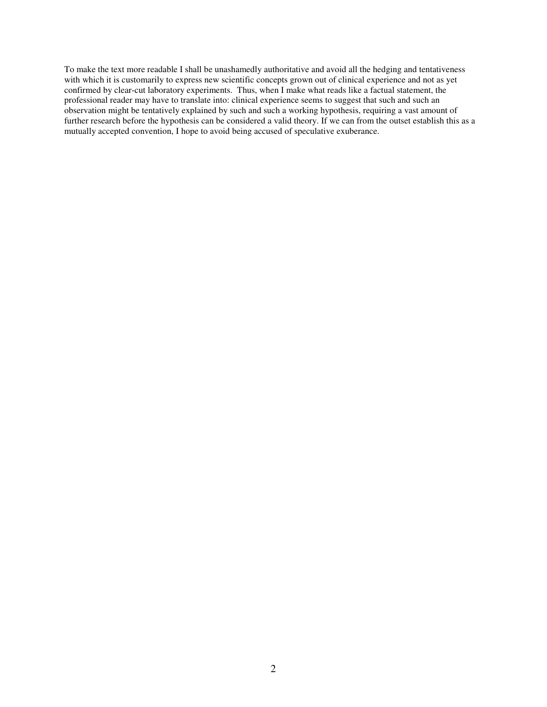To make the text more readable I shall be unashamedly authoritative and avoid all the hedging and tentativeness with which it is customarily to express new scientific concepts grown out of clinical experience and not as yet confirmed by clear-cut laboratory experiments. Thus, when I make what reads like a factual statement, the professional reader may have to translate into: clinical experience seems to suggest that such and such an observation might be tentatively explained by such and such a working hypothesis, requiring a vast amount of further research before the hypothesis can be considered a valid theory. If we can from the outset establish this as a mutually accepted convention, I hope to avoid being accused of speculative exuberance.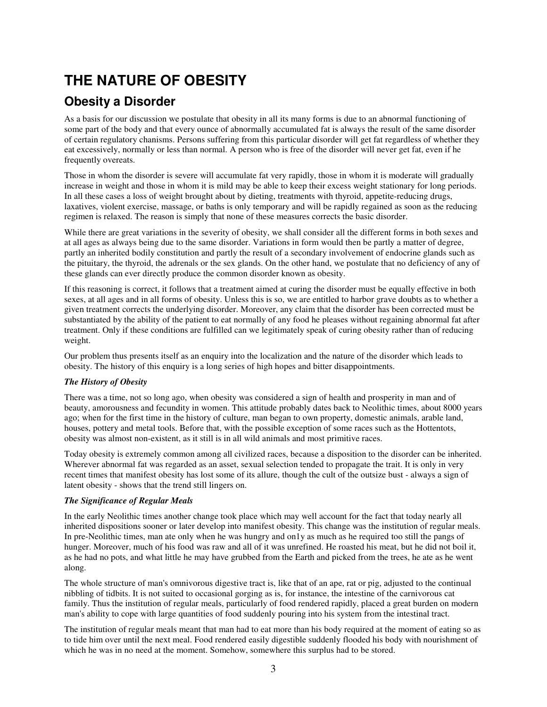# **THE NATURE OF OBESITY**

#### **Obesity a Disorder**

As a basis for our discussion we postulate that obesity in all its many forms is due to an abnormal functioning of some part of the body and that every ounce of abnormally accumulated fat is always the result of the same disorder of certain regulatory chanisms. Persons suffering from this particular disorder will get fat regardless of whether they eat excessively, normally or less than normal. A person who is free of the disorder will never get fat, even if he frequently overeats.

Those in whom the disorder is severe will accumulate fat very rapidly, those in whom it is moderate will gradually increase in weight and those in whom it is mild may be able to keep their excess weight stationary for long periods. In all these cases a loss of weight brought about by dieting, treatments with thyroid, appetite-reducing drugs, laxatives, violent exercise, massage, or baths is only temporary and will be rapidly regained as soon as the reducing regimen is relaxed. The reason is simply that none of these measures corrects the basic disorder.

While there are great variations in the severity of obesity, we shall consider all the different forms in both sexes and at all ages as always being due to the same disorder. Variations in form would then be partly a matter of degree, partly an inherited bodily constitution and partly the result of a secondary involvement of endocrine glands such as the pituitary, the thyroid, the adrenals or the sex glands. On the other hand, we postulate that no deficiency of any of these glands can ever directly produce the common disorder known as obesity.

If this reasoning is correct, it follows that a treatment aimed at curing the disorder must be equally effective in both sexes, at all ages and in all forms of obesity. Unless this is so, we are entitled to harbor grave doubts as to whether a given treatment corrects the underlying disorder. Moreover, any claim that the disorder has been corrected must be substantiated by the ability of the patient to eat normally of any food he pleases without regaining abnormal fat after treatment. Only if these conditions are fulfilled can we legitimately speak of curing obesity rather than of reducing weight.

Our problem thus presents itself as an enquiry into the localization and the nature of the disorder which leads to obesity. The history of this enquiry is a long series of high hopes and bitter disappointments.

#### *The History of Obesity*

There was a time, not so long ago, when obesity was considered a sign of health and prosperity in man and of beauty, amorousness and fecundity in women. This attitude probably dates back to Neolithic times, about 8000 years ago; when for the first time in the history of culture, man began to own property, domestic animals, arable land, houses, pottery and metal tools. Before that, with the possible exception of some races such as the Hottentots, obesity was almost non-existent, as it still is in all wild animals and most primitive races.

Today obesity is extremely common among all civilized races, because a disposition to the disorder can be inherited. Wherever abnormal fat was regarded as an asset, sexual selection tended to propagate the trait. It is only in very recent times that manifest obesity has lost some of its allure, though the cult of the outsize bust - always a sign of latent obesity - shows that the trend still lingers on.

#### *The Significance of Regular Meals*

In the early Neolithic times another change took place which may well account for the fact that today nearly all inherited dispositions sooner or later develop into manifest obesity. This change was the institution of regular meals. In pre-Neolithic times, man ate only when he was hungry and on1y as much as he required too still the pangs of hunger. Moreover, much of his food was raw and all of it was unrefined. He roasted his meat, but he did not boil it, as he had no pots, and what little he may have grubbed from the Earth and picked from the trees, he ate as he went along.

The whole structure of man's omnivorous digestive tract is, like that of an ape, rat or pig, adjusted to the continual nibbling of tidbits. It is not suited to occasional gorging as is, for instance, the intestine of the carnivorous cat family. Thus the institution of regular meals, particularly of food rendered rapidly, placed a great burden on modern man's ability to cope with large quantities of food suddenly pouring into his system from the intestinal tract.

The institution of regular meals meant that man had to eat more than his body required at the moment of eating so as to tide him over until the next meal. Food rendered easily digestible suddenly flooded his body with nourishment of which he was in no need at the moment. Somehow, somewhere this surplus had to be stored.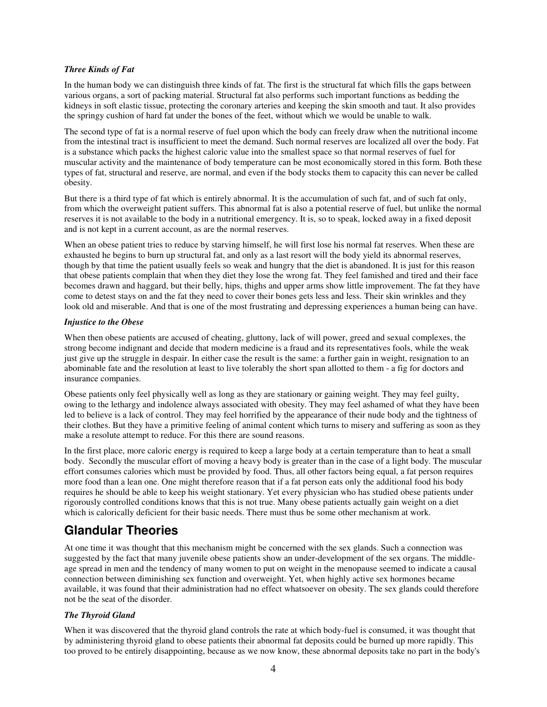#### *Three Kinds of Fat*

In the human body we can distinguish three kinds of fat. The first is the structural fat which fills the gaps between various organs, a sort of packing material. Structural fat also performs such important functions as bedding the kidneys in soft elastic tissue, protecting the coronary arteries and keeping the skin smooth and taut. It also provides the springy cushion of hard fat under the bones of the feet, without which we would be unable to walk.

The second type of fat is a normal reserve of fuel upon which the body can freely draw when the nutritional income from the intestinal tract is insufficient to meet the demand. Such normal reserves are localized all over the body. Fat is a substance which packs the highest caloric value into the smallest space so that normal reserves of fuel for muscular activity and the maintenance of body temperature can be most economically stored in this form. Both these types of fat, structural and reserve, are normal, and even if the body stocks them to capacity this can never be called obesity.

But there is a third type of fat which is entirely abnormal. It is the accumulation of such fat, and of such fat only, from which the overweight patient suffers. This abnormal fat is also a potential reserve of fuel, but unlike the normal reserves it is not available to the body in a nutritional emergency. It is, so to speak, locked away in a fixed deposit and is not kept in a current account, as are the normal reserves.

When an obese patient tries to reduce by starving himself, he will first lose his normal fat reserves. When these are exhausted he begins to burn up structural fat, and only as a last resort will the body yield its abnormal reserves, though by that time the patient usually feels so weak and hungry that the diet is abandoned. It is just for this reason that obese patients complain that when they diet they lose the wrong fat. They feel famished and tired and their face becomes drawn and haggard, but their belly, hips, thighs and upper arms show little improvement. The fat they have come to detest stays on and the fat they need to cover their bones gets less and less. Their skin wrinkles and they look old and miserable. And that is one of the most frustrating and depressing experiences a human being can have.

#### *Injustice to the Obese*

When then obese patients are accused of cheating, gluttony, lack of will power, greed and sexual complexes, the strong become indignant and decide that modern medicine is a fraud and its representatives fools, while the weak just give up the struggle in despair. In either case the result is the same: a further gain in weight, resignation to an abominable fate and the resolution at least to live tolerably the short span allotted to them - a fig for doctors and insurance companies.

Obese patients only feel physically well as long as they are stationary or gaining weight. They may feel guilty, owing to the lethargy and indolence always associated with obesity. They may feel ashamed of what they have been led to believe is a lack of control. They may feel horrified by the appearance of their nude body and the tightness of their clothes. But they have a primitive feeling of animal content which turns to misery and suffering as soon as they make a resolute attempt to reduce. For this there are sound reasons.

In the first place, more caloric energy is required to keep a large body at a certain temperature than to heat a small body. Secondly the muscular effort of moving a heavy body is greater than in the case of a light body. The muscular effort consumes calories which must be provided by food. Thus, all other factors being equal, a fat person requires more food than a lean one. One might therefore reason that if a fat person eats only the additional food his body requires he should be able to keep his weight stationary. Yet every physician who has studied obese patients under rigorously controlled conditions knows that this is not true. Many obese patients actually gain weight on a diet which is calorically deficient for their basic needs. There must thus be some other mechanism at work.

#### **Glandular Theories**

At one time it was thought that this mechanism might be concerned with the sex glands. Such a connection was suggested by the fact that many juvenile obese patients show an under-development of the sex organs. The middleage spread in men and the tendency of many women to put on weight in the menopause seemed to indicate a causal connection between diminishing sex function and overweight. Yet, when highly active sex hormones became available, it was found that their administration had no effect whatsoever on obesity. The sex glands could therefore not be the seat of the disorder.

#### *The Thyroid Gland*

When it was discovered that the thyroid gland controls the rate at which body-fuel is consumed, it was thought that by administering thyroid gland to obese patients their abnormal fat deposits could be burned up more rapidly. This too proved to be entirely disappointing, because as we now know, these abnormal deposits take no part in the body's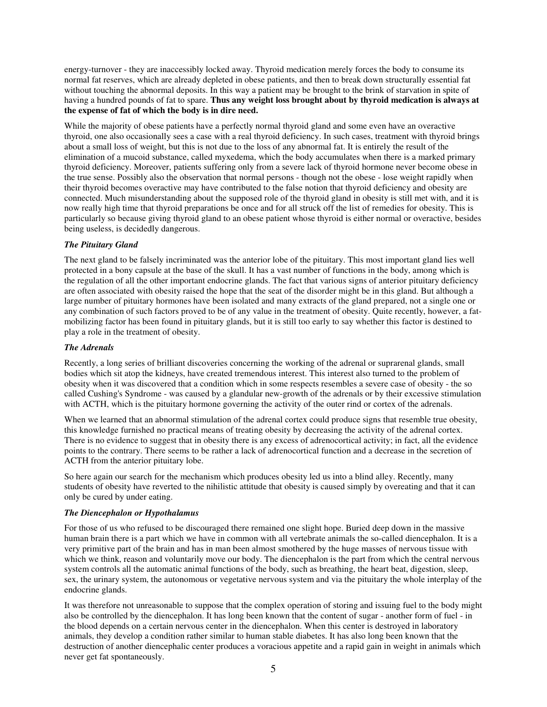energy-turnover - they are inaccessibly locked away. Thyroid medication merely forces the body to consume its normal fat reserves, which are already depleted in obese patients, and then to break down structurally essential fat without touching the abnormal deposits. In this way a patient may be brought to the brink of starvation in spite of having a hundred pounds of fat to spare. **Thus any weight loss brought about by thyroid medication is always at the expense of fat of which the body is in dire need.**

While the majority of obese patients have a perfectly normal thyroid gland and some even have an overactive thyroid, one also occasionally sees a case with a real thyroid deficiency. In such cases, treatment with thyroid brings about a small loss of weight, but this is not due to the loss of any abnormal fat. It is entirely the result of the elimination of a mucoid substance, called myxedema, which the body accumulates when there is a marked primary thyroid deficiency. Moreover, patients suffering only from a severe lack of thyroid hormone never become obese in the true sense. Possibly also the observation that normal persons - though not the obese - lose weight rapidly when their thyroid becomes overactive may have contributed to the false notion that thyroid deficiency and obesity are connected. Much misunderstanding about the supposed role of the thyroid gland in obesity is still met with, and it is now really high time that thyroid preparations be once and for all struck off the list of remedies for obesity. This is particularly so because giving thyroid gland to an obese patient whose thyroid is either normal or overactive, besides being useless, is decidedly dangerous.

#### *The Pituitary Gland*

The next gland to be falsely incriminated was the anterior lobe of the pituitary. This most important gland lies well protected in a bony capsule at the base of the skull. It has a vast number of functions in the body, among which is the regulation of all the other important endocrine glands. The fact that various signs of anterior pituitary deficiency are often associated with obesity raised the hope that the seat of the disorder might be in this gland. But although a large number of pituitary hormones have been isolated and many extracts of the gland prepared, not a single one or any combination of such factors proved to be of any value in the treatment of obesity. Quite recently, however, a fatmobilizing factor has been found in pituitary glands, but it is still too early to say whether this factor is destined to play a role in the treatment of obesity.

#### *The Adrenals*

Recently, a long series of brilliant discoveries concerning the working of the adrenal or suprarenal glands, small bodies which sit atop the kidneys, have created tremendous interest. This interest also turned to the problem of obesity when it was discovered that a condition which in some respects resembles a severe case of obesity - the so called Cushing's Syndrome - was caused by a glandular new-growth of the adrenals or by their excessive stimulation with ACTH, which is the pituitary hormone governing the activity of the outer rind or cortex of the adrenals.

When we learned that an abnormal stimulation of the adrenal cortex could produce signs that resemble true obesity, this knowledge furnished no practical means of treating obesity by decreasing the activity of the adrenal cortex. There is no evidence to suggest that in obesity there is any excess of adrenocortical activity; in fact, all the evidence points to the contrary. There seems to be rather a lack of adrenocortical function and a decrease in the secretion of ACTH from the anterior pituitary lobe.

So here again our search for the mechanism which produces obesity led us into a blind alley. Recently, many students of obesity have reverted to the nihilistic attitude that obesity is caused simply by overeating and that it can only be cured by under eating.

#### *The Diencephalon or Hypothalamus*

For those of us who refused to be discouraged there remained one slight hope. Buried deep down in the massive human brain there is a part which we have in common with all vertebrate animals the so-called diencephalon. It is a very primitive part of the brain and has in man been almost smothered by the huge masses of nervous tissue with which we think, reason and voluntarily move our body. The diencephalon is the part from which the central nervous system controls all the automatic animal functions of the body, such as breathing, the heart beat, digestion, sleep, sex, the urinary system, the autonomous or vegetative nervous system and via the pituitary the whole interplay of the endocrine glands.

It was therefore not unreasonable to suppose that the complex operation of storing and issuing fuel to the body might also be controlled by the diencephalon. It has long been known that the content of sugar - another form of fuel - in the blood depends on a certain nervous center in the diencephalon. When this center is destroyed in laboratory animals, they develop a condition rather similar to human stable diabetes. It has also long been known that the destruction of another diencephalic center produces a voracious appetite and a rapid gain in weight in animals which never get fat spontaneously.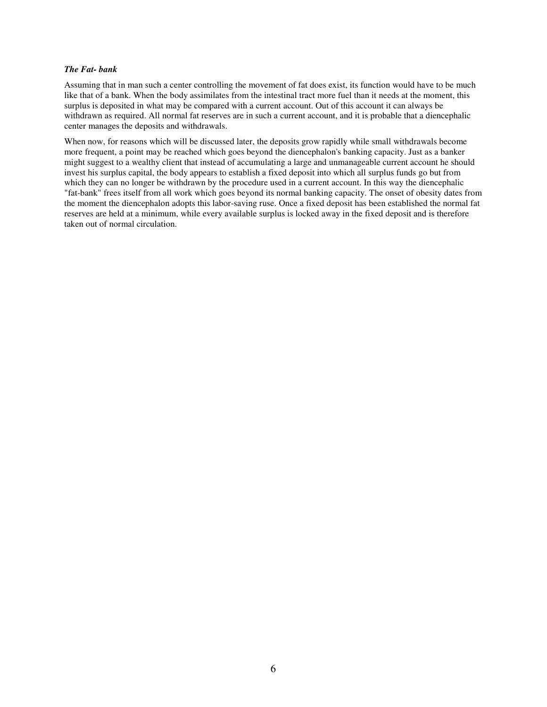#### *The Fat- bank*

Assuming that in man such a center controlling the movement of fat does exist, its function would have to be much like that of a bank. When the body assimilates from the intestinal tract more fuel than it needs at the moment, this surplus is deposited in what may be compared with a current account. Out of this account it can always be withdrawn as required. All normal fat reserves are in such a current account, and it is probable that a diencephalic center manages the deposits and withdrawals.

When now, for reasons which will be discussed later, the deposits grow rapidly while small withdrawals become more frequent, a point may be reached which goes beyond the diencephalon's banking capacity. Just as a banker might suggest to a wealthy client that instead of accumulating a large and unmanageable current account he should invest his surplus capital, the body appears to establish a fixed deposit into which all surplus funds go but from which they can no longer be withdrawn by the procedure used in a current account. In this way the diencephalic "fat-bank" frees itself from all work which goes beyond its normal banking capacity. The onset of obesity dates from the moment the diencephalon adopts this labor-saving ruse. Once a fixed deposit has been established the normal fat reserves are held at a minimum, while every available surplus is locked away in the fixed deposit and is therefore taken out of normal circulation.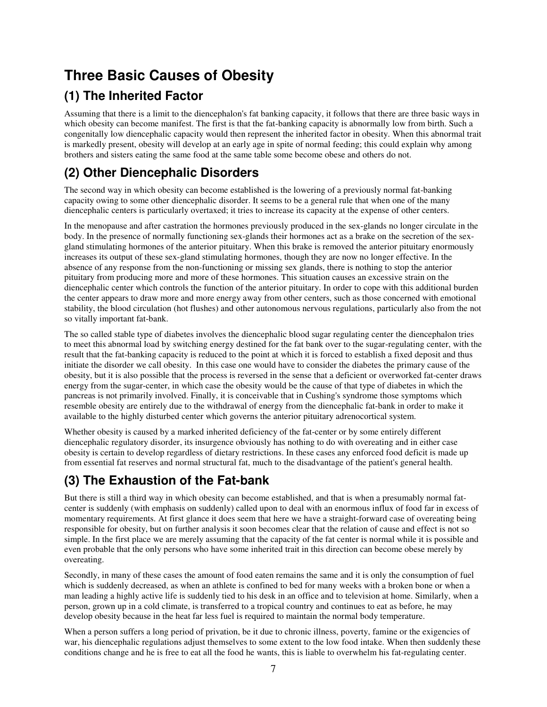# **Three Basic Causes of Obesity**

# **(1) The Inherited Factor**

Assuming that there is a limit to the diencephalon's fat banking capacity, it follows that there are three basic ways in which obesity can become manifest. The first is that the fat-banking capacity is abnormally low from birth. Such a congenitally low diencephalic capacity would then represent the inherited factor in obesity. When this abnormal trait is markedly present, obesity will develop at an early age in spite of normal feeding; this could explain why among brothers and sisters eating the same food at the same table some become obese and others do not.

# **(2) Other Diencephalic Disorders**

The second way in which obesity can become established is the lowering of a previously normal fat-banking capacity owing to some other diencephalic disorder. It seems to be a general rule that when one of the many diencephalic centers is particularly overtaxed; it tries to increase its capacity at the expense of other centers.

In the menopause and after castration the hormones previously produced in the sex-glands no longer circulate in the body. In the presence of normally functioning sex-glands their hormones act as a brake on the secretion of the sexgland stimulating hormones of the anterior pituitary. When this brake is removed the anterior pituitary enormously increases its output of these sex-gland stimulating hormones, though they are now no longer effective. In the absence of any response from the non-functioning or missing sex glands, there is nothing to stop the anterior pituitary from producing more and more of these hormones. This situation causes an excessive strain on the diencephalic center which controls the function of the anterior pituitary. In order to cope with this additional burden the center appears to draw more and more energy away from other centers, such as those concerned with emotional stability, the blood circulation (hot flushes) and other autonomous nervous regulations, particularly also from the not so vitally important fat-bank.

The so called stable type of diabetes involves the diencephalic blood sugar regulating center the diencephalon tries to meet this abnormal load by switching energy destined for the fat bank over to the sugar-regulating center, with the result that the fat-banking capacity is reduced to the point at which it is forced to establish a fixed deposit and thus initiate the disorder we call obesity. In this case one would have to consider the diabetes the primary cause of the obesity, but it is also possible that the process is reversed in the sense that a deficient or overworked fat-center draws energy from the sugar-center, in which case the obesity would be the cause of that type of diabetes in which the pancreas is not primarily involved. Finally, it is conceivable that in Cushing's syndrome those symptoms which resemble obesity are entirely due to the withdrawal of energy from the diencephalic fat-bank in order to make it available to the highly disturbed center which governs the anterior pituitary adrenocortical system.

Whether obesity is caused by a marked inherited deficiency of the fat-center or by some entirely different diencephalic regulatory disorder, its insurgence obviously has nothing to do with overeating and in either case obesity is certain to develop regardless of dietary restrictions. In these cases any enforced food deficit is made up from essential fat reserves and normal structural fat, much to the disadvantage of the patient's general health.

# **(3) The Exhaustion of the Fat-bank**

But there is still a third way in which obesity can become established, and that is when a presumably normal fatcenter is suddenly (with emphasis on suddenly) called upon to deal with an enormous influx of food far in excess of momentary requirements. At first glance it does seem that here we have a straight-forward case of overeating being responsible for obesity, but on further analysis it soon becomes clear that the relation of cause and effect is not so simple. In the first place we are merely assuming that the capacity of the fat center is normal while it is possible and even probable that the only persons who have some inherited trait in this direction can become obese merely by overeating.

Secondly, in many of these cases the amount of food eaten remains the same and it is only the consumption of fuel which is suddenly decreased, as when an athlete is confined to bed for many weeks with a broken bone or when a man leading a highly active life is suddenly tied to his desk in an office and to television at home. Similarly, when a person, grown up in a cold climate, is transferred to a tropical country and continues to eat as before, he may develop obesity because in the heat far less fuel is required to maintain the normal body temperature.

When a person suffers a long period of privation, be it due to chronic illness, poverty, famine or the exigencies of war, his diencephalic regulations adjust themselves to some extent to the low food intake. When then suddenly these conditions change and he is free to eat all the food he wants, this is liable to overwhelm his fat-regulating center.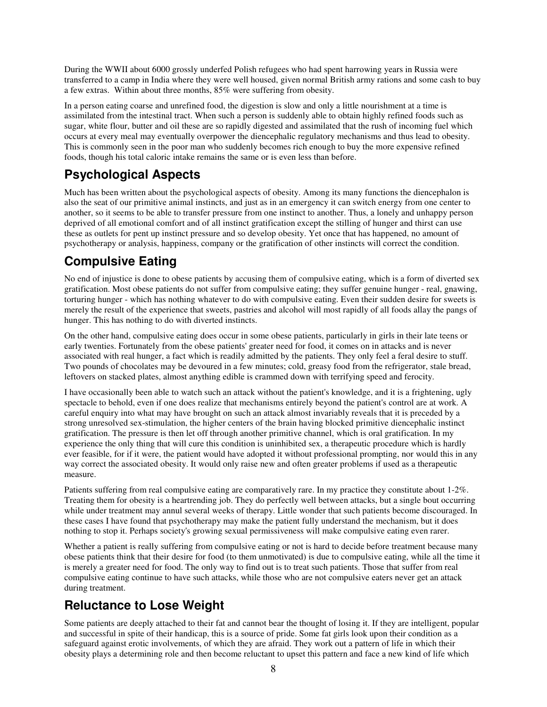During the WWII about 6000 grossly underfed Polish refugees who had spent harrowing years in Russia were transferred to a camp in India where they were well housed, given normal British army rations and some cash to buy a few extras. Within about three months, 85% were suffering from obesity.

In a person eating coarse and unrefined food, the digestion is slow and only a little nourishment at a time is assimilated from the intestinal tract. When such a person is suddenly able to obtain highly refined foods such as sugar, white flour, butter and oil these are so rapidly digested and assimilated that the rush of incoming fuel which occurs at every meal may eventually overpower the diencephalic regulatory mechanisms and thus lead to obesity. This is commonly seen in the poor man who suddenly becomes rich enough to buy the more expensive refined foods, though his total caloric intake remains the same or is even less than before.

#### **Psychological Aspects**

Much has been written about the psychological aspects of obesity. Among its many functions the diencephalon is also the seat of our primitive animal instincts, and just as in an emergency it can switch energy from one center to another, so it seems to be able to transfer pressure from one instinct to another. Thus, a lonely and unhappy person deprived of all emotional comfort and of all instinct gratification except the stilling of hunger and thirst can use these as outlets for pent up instinct pressure and so develop obesity. Yet once that has happened, no amount of psychotherapy or analysis, happiness, company or the gratification of other instincts will correct the condition.

# **Compulsive Eating**

No end of injustice is done to obese patients by accusing them of compulsive eating, which is a form of diverted sex gratification. Most obese patients do not suffer from compulsive eating; they suffer genuine hunger - real, gnawing, torturing hunger - which has nothing whatever to do with compulsive eating. Even their sudden desire for sweets is merely the result of the experience that sweets, pastries and alcohol will most rapidly of all foods allay the pangs of hunger. This has nothing to do with diverted instincts.

On the other hand, compulsive eating does occur in some obese patients, particularly in girls in their late teens or early twenties. Fortunately from the obese patients' greater need for food, it comes on in attacks and is never associated with real hunger, a fact which is readily admitted by the patients. They only feel a feral desire to stuff. Two pounds of chocolates may be devoured in a few minutes; cold, greasy food from the refrigerator, stale bread, leftovers on stacked plates, almost anything edible is crammed down with terrifying speed and ferocity.

I have occasionally been able to watch such an attack without the patient's knowledge, and it is a frightening, ugly spectacle to behold, even if one does realize that mechanisms entirely beyond the patient's control are at work. A careful enquiry into what may have brought on such an attack almost invariably reveals that it is preceded by a strong unresolved sex-stimulation, the higher centers of the brain having blocked primitive diencephalic instinct gratification. The pressure is then let off through another primitive channel, which is oral gratification. In my experience the only thing that will cure this condition is uninhibited sex, a therapeutic procedure which is hardly ever feasible, for if it were, the patient would have adopted it without professional prompting, nor would this in any way correct the associated obesity. It would only raise new and often greater problems if used as a therapeutic measure.

Patients suffering from real compulsive eating are comparatively rare. In my practice they constitute about 1-2%. Treating them for obesity is a heartrending job. They do perfectly well between attacks, but a single bout occurring while under treatment may annul several weeks of therapy. Little wonder that such patients become discouraged. In these cases I have found that psychotherapy may make the patient fully understand the mechanism, but it does nothing to stop it. Perhaps society's growing sexual permissiveness will make compulsive eating even rarer.

Whether a patient is really suffering from compulsive eating or not is hard to decide before treatment because many obese patients think that their desire for food (to them unmotivated) is due to compulsive eating, while all the time it is merely a greater need for food. The only way to find out is to treat such patients. Those that suffer from real compulsive eating continue to have such attacks, while those who are not compulsive eaters never get an attack during treatment.

### **Reluctance to Lose Weight**

Some patients are deeply attached to their fat and cannot bear the thought of losing it. If they are intelligent, popular and successful in spite of their handicap, this is a source of pride. Some fat girls look upon their condition as a safeguard against erotic involvements, of which they are afraid. They work out a pattern of life in which their obesity plays a determining role and then become reluctant to upset this pattern and face a new kind of life which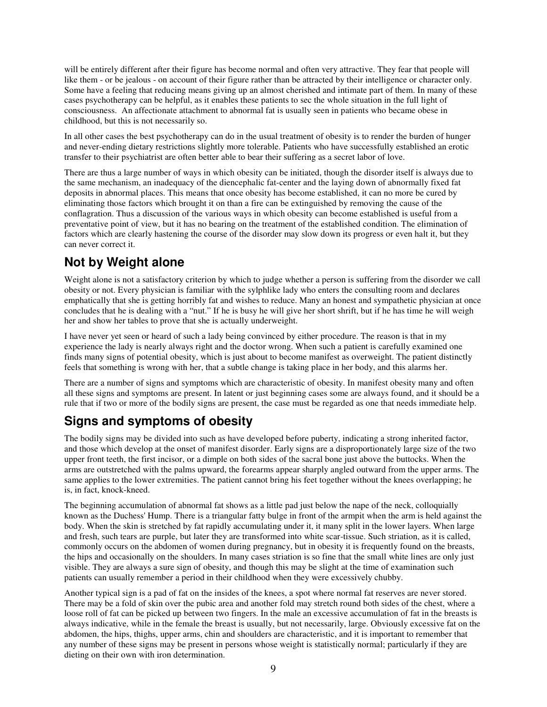will be entirely different after their figure has become normal and often very attractive. They fear that people will like them - or be jealous - on account of their figure rather than be attracted by their intelligence or character only. Some have a feeling that reducing means giving up an almost cherished and intimate part of them. In many of these cases psychotherapy can be helpful, as it enables these patients to sec the whole situation in the full light of consciousness. An affectionate attachment to abnormal fat is usually seen in patients who became obese in childhood, but this is not necessarily so.

In all other cases the best psychotherapy can do in the usual treatment of obesity is to render the burden of hunger and never-ending dietary restrictions slightly more tolerable. Patients who have successfully established an erotic transfer to their psychiatrist are often better able to bear their suffering as a secret labor of love.

There are thus a large number of ways in which obesity can be initiated, though the disorder itself is always due to the same mechanism, an inadequacy of the diencephalic fat-center and the laying down of abnormally fixed fat deposits in abnormal places. This means that once obesity has become established, it can no more be cured by eliminating those factors which brought it on than a fire can be extinguished by removing the cause of the conflagration. Thus a discussion of the various ways in which obesity can become established is useful from a preventative point of view, but it has no bearing on the treatment of the established condition. The elimination of factors which are clearly hastening the course of the disorder may slow down its progress or even halt it, but they can never correct it.

# **Not by Weight alone**

Weight alone is not a satisfactory criterion by which to judge whether a person is suffering from the disorder we call obesity or not. Every physician is familiar with the sylphlike lady who enters the consulting room and declares emphatically that she is getting horribly fat and wishes to reduce. Many an honest and sympathetic physician at once concludes that he is dealing with a "nut." If he is busy he will give her short shrift, but if he has time he will weigh her and show her tables to prove that she is actually underweight.

I have never yet seen or heard of such a lady being convinced by either procedure. The reason is that in my experience the lady is nearly always right and the doctor wrong. When such a patient is carefully examined one finds many signs of potential obesity, which is just about to become manifest as overweight. The patient distinctly feels that something is wrong with her, that a subtle change is taking place in her body, and this alarms her.

There are a number of signs and symptoms which are characteristic of obesity. In manifest obesity many and often all these signs and symptoms are present. In latent or just beginning cases some are always found, and it should be a rule that if two or more of the bodily signs are present, the case must be regarded as one that needs immediate help.

# **Signs and symptoms of obesity**

The bodily signs may be divided into such as have developed before puberty, indicating a strong inherited factor, and those which develop at the onset of manifest disorder. Early signs are a disproportionately large size of the two upper front teeth, the first incisor, or a dimple on both sides of the sacral bone just above the buttocks. When the arms are outstretched with the palms upward, the forearms appear sharply angled outward from the upper arms. The same applies to the lower extremities. The patient cannot bring his feet together without the knees overlapping; he is, in fact, knock-kneed.

The beginning accumulation of abnormal fat shows as a little pad just below the nape of the neck, colloquially known as the Duchess' Hump. There is a triangular fatty bulge in front of the armpit when the arm is held against the body. When the skin is stretched by fat rapidly accumulating under it, it many split in the lower layers. When large and fresh, such tears are purple, but later they are transformed into white scar-tissue. Such striation, as it is called, commonly occurs on the abdomen of women during pregnancy, but in obesity it is frequently found on the breasts, the hips and occasionally on the shoulders. In many cases striation is so fine that the small white lines are only just visible. They are always a sure sign of obesity, and though this may be slight at the time of examination such patients can usually remember a period in their childhood when they were excessively chubby.

Another typical sign is a pad of fat on the insides of the knees, a spot where normal fat reserves are never stored. There may be a fold of skin over the pubic area and another fold may stretch round both sides of the chest, where a loose roll of fat can be picked up between two fingers. In the male an excessive accumulation of fat in the breasts is always indicative, while in the female the breast is usually, but not necessarily, large. Obviously excessive fat on the abdomen, the hips, thighs, upper arms, chin and shoulders are characteristic, and it is important to remember that any number of these signs may be present in persons whose weight is statistically normal; particularly if they are dieting on their own with iron determination.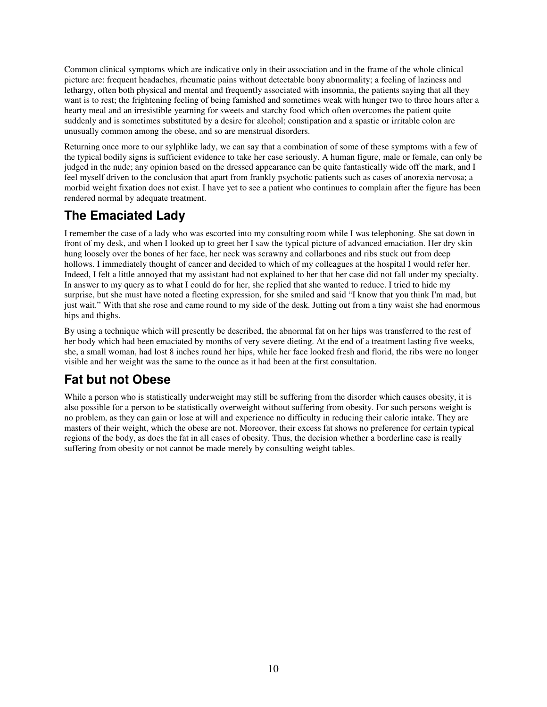Common clinical symptoms which are indicative only in their association and in the frame of the whole clinical picture are: frequent headaches, rheumatic pains without detectable bony abnormality; a feeling of laziness and lethargy, often both physical and mental and frequently associated with insomnia, the patients saying that all they want is to rest; the frightening feeling of being famished and sometimes weak with hunger two to three hours after a hearty meal and an irresistible yearning for sweets and starchy food which often overcomes the patient quite suddenly and is sometimes substituted by a desire for alcohol; constipation and a spastic or irritable colon are unusually common among the obese, and so are menstrual disorders.

Returning once more to our sylphlike lady, we can say that a combination of some of these symptoms with a few of the typical bodily signs is sufficient evidence to take her case seriously. A human figure, male or female, can only be judged in the nude; any opinion based on the dressed appearance can be quite fantastically wide off the mark, and I feel myself driven to the conclusion that apart from frankly psychotic patients such as cases of anorexia nervosa; a morbid weight fixation does not exist. I have yet to see a patient who continues to complain after the figure has been rendered normal by adequate treatment.

### **The Emaciated Lady**

I remember the case of a lady who was escorted into my consulting room while I was telephoning. She sat down in front of my desk, and when I looked up to greet her I saw the typical picture of advanced emaciation. Her dry skin hung loosely over the bones of her face, her neck was scrawny and collarbones and ribs stuck out from deep hollows. I immediately thought of cancer and decided to which of my colleagues at the hospital I would refer her. Indeed, I felt a little annoyed that my assistant had not explained to her that her case did not fall under my specialty. In answer to my query as to what I could do for her, she replied that she wanted to reduce. I tried to hide my surprise, but she must have noted a fleeting expression, for she smiled and said "I know that you think I'm mad, but just wait." With that she rose and came round to my side of the desk. Jutting out from a tiny waist she had enormous hips and thighs.

By using a technique which will presently be described, the abnormal fat on her hips was transferred to the rest of her body which had been emaciated by months of very severe dieting. At the end of a treatment lasting five weeks, she, a small woman, had lost 8 inches round her hips, while her face looked fresh and florid, the ribs were no longer visible and her weight was the same to the ounce as it had been at the first consultation.

### **Fat but not Obese**

While a person who is statistically underweight may still be suffering from the disorder which causes obesity, it is also possible for a person to be statistically overweight without suffering from obesity. For such persons weight is no problem, as they can gain or lose at will and experience no difficulty in reducing their caloric intake. They are masters of their weight, which the obese are not. Moreover, their excess fat shows no preference for certain typical regions of the body, as does the fat in all cases of obesity. Thus, the decision whether a borderline case is really suffering from obesity or not cannot be made merely by consulting weight tables.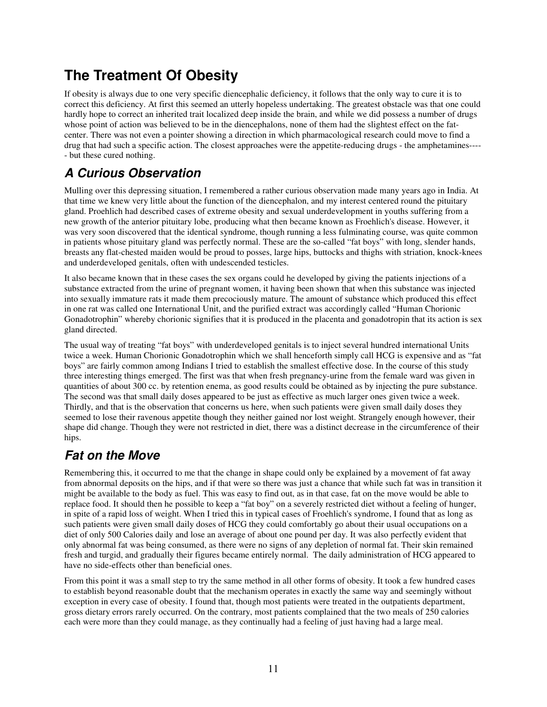# **The Treatment Of Obesity**

If obesity is always due to one very specific diencephalic deficiency, it follows that the only way to cure it is to correct this deficiency. At first this seemed an utterly hopeless undertaking. The greatest obstacle was that one could hardly hope to correct an inherited trait localized deep inside the brain, and while we did possess a number of drugs whose point of action was believed to be in the diencephalons, none of them had the slightest effect on the fatcenter. There was not even a pointer showing a direction in which pharmacological research could move to find a drug that had such a specific action. The closest approaches were the appetite-reducing drugs - the amphetamines---- - but these cured nothing.

#### **A Curious Observation**

Mulling over this depressing situation, I remembered a rather curious observation made many years ago in India. At that time we knew very little about the function of the diencephalon, and my interest centered round the pituitary gland. Proehlich had described cases of extreme obesity and sexual underdevelopment in youths suffering from a new growth of the anterior pituitary lobe, producing what then became known as Froehlich's disease. However, it was very soon discovered that the identical syndrome, though running a less fulminating course, was quite common in patients whose pituitary gland was perfectly normal. These are the so-called "fat boys" with long, slender hands, breasts any flat-chested maiden would be proud to posses, large hips, buttocks and thighs with striation, knock-knees and underdeveloped genitals, often with undescended testicles.

It also became known that in these cases the sex organs could he developed by giving the patients injections of a substance extracted from the urine of pregnant women, it having been shown that when this substance was injected into sexually immature rats it made them precociously mature. The amount of substance which produced this effect in one rat was called one International Unit, and the purified extract was accordingly called "Human Chorionic Gonadotrophin" whereby chorionic signifies that it is produced in the placenta and gonadotropin that its action is sex gland directed.

The usual way of treating "fat boys" with underdeveloped genitals is to inject several hundred international Units twice a week. Human Chorionic Gonadotrophin which we shall henceforth simply call HCG is expensive and as "fat boys" are fairly common among Indians I tried to establish the smallest effective dose. In the course of this study three interesting things emerged. The first was that when fresh pregnancy-urine from the female ward was given in quantities of about 300 cc. by retention enema, as good results could be obtained as by injecting the pure substance. The second was that small daily doses appeared to be just as effective as much larger ones given twice a week. Thirdly, and that is the observation that concerns us here, when such patients were given small daily doses they seemed to lose their ravenous appetite though they neither gained nor lost weight. Strangely enough however, their shape did change. Though they were not restricted in diet, there was a distinct decrease in the circumference of their hips.

#### **Fat on the Move**

Remembering this, it occurred to me that the change in shape could only be explained by a movement of fat away from abnormal deposits on the hips, and if that were so there was just a chance that while such fat was in transition it might be available to the body as fuel. This was easy to find out, as in that case, fat on the move would be able to replace food. It should then he possible to keep a "fat boy" on a severely restricted diet without a feeling of hunger, in spite of a rapid loss of weight. When I tried this in typical cases of Froehlich's syndrome, I found that as long as such patients were given small daily doses of HCG they could comfortably go about their usual occupations on a diet of only 500 Calories daily and lose an average of about one pound per day. It was also perfectly evident that only abnormal fat was being consumed, as there were no signs of any depletion of normal fat. Their skin remained fresh and turgid, and gradually their figures became entirely normal. The daily administration of HCG appeared to have no side-effects other than beneficial ones.

From this point it was a small step to try the same method in all other forms of obesity. It took a few hundred cases to establish beyond reasonable doubt that the mechanism operates in exactly the same way and seemingly without exception in every case of obesity. I found that, though most patients were treated in the outpatients department, gross dietary errors rarely occurred. On the contrary, most patients complained that the two meals of 250 calories each were more than they could manage, as they continually had a feeling of just having had a large meal.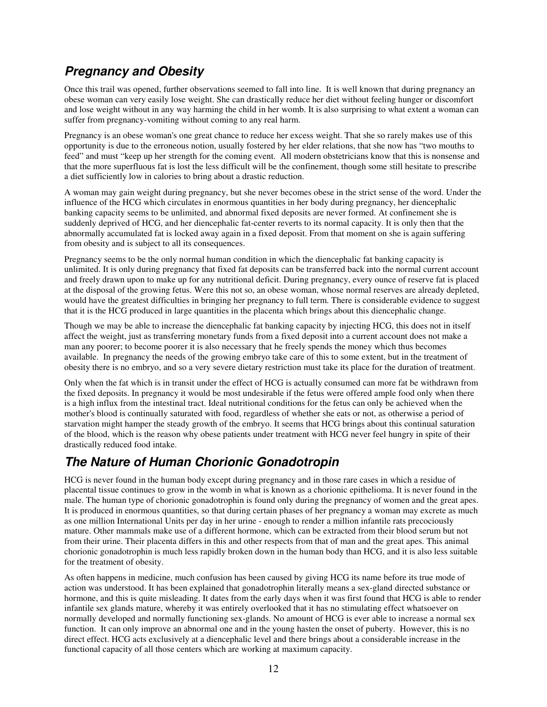#### **Pregnancy and Obesity**

Once this trail was opened, further observations seemed to fall into line. It is well known that during pregnancy an obese woman can very easily lose weight. She can drastically reduce her diet without feeling hunger or discomfort and lose weight without in any way harming the child in her womb. It is also surprising to what extent a woman can suffer from pregnancy-vomiting without coming to any real harm.

Pregnancy is an obese woman's one great chance to reduce her excess weight. That she so rarely makes use of this opportunity is due to the erroneous notion, usually fostered by her elder relations, that she now has "two mouths to feed" and must "keep up her strength for the coming event. All modern obstetricians know that this is nonsense and that the more superfluous fat is lost the less difficult will be the confinement, though some still hesitate to prescribe a diet sufficiently low in calories to bring about a drastic reduction.

A woman may gain weight during pregnancy, but she never becomes obese in the strict sense of the word. Under the influence of the HCG which circulates in enormous quantities in her body during pregnancy, her diencephalic banking capacity seems to be unlimited, and abnormal fixed deposits are never formed. At confinement she is suddenly deprived of HCG, and her diencephalic fat-center reverts to its normal capacity. It is only then that the abnormally accumulated fat is locked away again in a fixed deposit. From that moment on she is again suffering from obesity and is subject to all its consequences.

Pregnancy seems to be the only normal human condition in which the diencephalic fat banking capacity is unlimited. It is only during pregnancy that fixed fat deposits can be transferred back into the normal current account and freely drawn upon to make up for any nutritional deficit. During pregnancy, every ounce of reserve fat is placed at the disposal of the growing fetus. Were this not so, an obese woman, whose normal reserves are already depleted, would have the greatest difficulties in bringing her pregnancy to full term. There is considerable evidence to suggest that it is the HCG produced in large quantities in the placenta which brings about this diencephalic change.

Though we may be able to increase the diencephalic fat banking capacity by injecting HCG, this does not in itself affect the weight, just as transferring monetary funds from a fixed deposit into a current account does not make a man any poorer; to become poorer it is also necessary that he freely spends the money which thus becomes available. In pregnancy the needs of the growing embryo take care of this to some extent, but in the treatment of obesity there is no embryo, and so a very severe dietary restriction must take its place for the duration of treatment.

Only when the fat which is in transit under the effect of HCG is actually consumed can more fat be withdrawn from the fixed deposits. In pregnancy it would be most undesirable if the fetus were offered ample food only when there is a high influx from the intestinal tract. Ideal nutritional conditions for the fetus can only be achieved when the mother's blood is continually saturated with food, regardless of whether she eats or not, as otherwise a period of starvation might hamper the steady growth of the embryo. It seems that HCG brings about this continual saturation of the blood, which is the reason why obese patients under treatment with HCG never feel hungry in spite of their drastically reduced food intake.

#### **The Nature of Human Chorionic Gonadotropin**

HCG is never found in the human body except during pregnancy and in those rare cases in which a residue of placental tissue continues to grow in the womb in what is known as a chorionic epithelioma. It is never found in the male. The human type of chorionic gonadotrophin is found only during the pregnancy of women and the great apes. It is produced in enormous quantities, so that during certain phases of her pregnancy a woman may excrete as much as one million International Units per day in her urine - enough to render a million infantile rats precociously mature. Other mammals make use of a different hormone, which can be extracted from their blood serum but not from their urine. Their placenta differs in this and other respects from that of man and the great apes. This animal chorionic gonadotrophin is much less rapidly broken down in the human body than HCG, and it is also less suitable for the treatment of obesity.

As often happens in medicine, much confusion has been caused by giving HCG its name before its true mode of action was understood. It has been explained that gonadotrophin literally means a sex-gland directed substance or hormone, and this is quite misleading. It dates from the early days when it was first found that HCG is able to render infantile sex glands mature, whereby it was entirely overlooked that it has no stimulating effect whatsoever on normally developed and normally functioning sex-glands. No amount of HCG is ever able to increase a normal sex function. It can only improve an abnormal one and in the young hasten the onset of puberty. However, this is no direct effect. HCG acts exclusively at a diencephalic level and there brings about a considerable increase in the functional capacity of all those centers which are working at maximum capacity.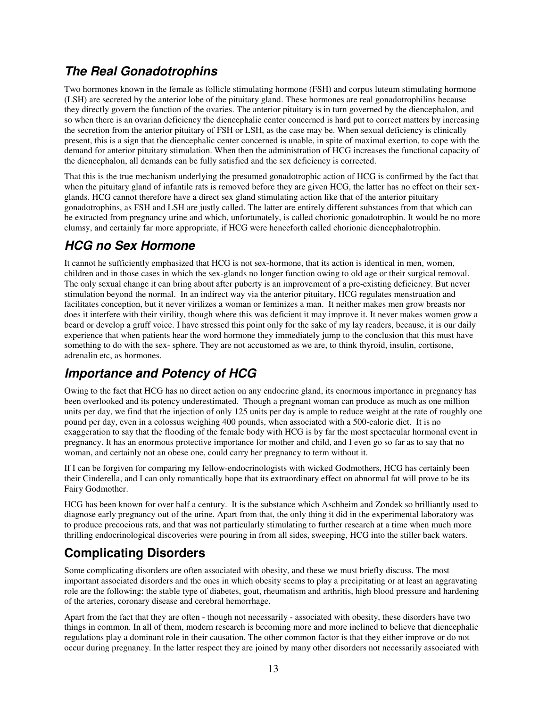#### **The Real Gonadotrophins**

Two hormones known in the female as follicle stimulating hormone (FSH) and corpus luteum stimulating hormone (LSH) are secreted by the anterior lobe of the pituitary gland. These hormones are real gonadotrophilins because they directly govern the function of the ovaries. The anterior pituitary is in turn governed by the diencephalon, and so when there is an ovarian deficiency the diencephalic center concerned is hard put to correct matters by increasing the secretion from the anterior pituitary of FSH or LSH, as the case may be. When sexual deficiency is clinically present, this is a sign that the diencephalic center concerned is unable, in spite of maximal exertion, to cope with the demand for anterior pituitary stimulation. When then the administration of HCG increases the functional capacity of the diencephalon, all demands can be fully satisfied and the sex deficiency is corrected.

That this is the true mechanism underlying the presumed gonadotrophic action of HCG is confirmed by the fact that when the pituitary gland of infantile rats is removed before they are given HCG, the latter has no effect on their sexglands. HCG cannot therefore have a direct sex gland stimulating action like that of the anterior pituitary gonadotrophins, as FSH and LSH are justly called. The latter are entirely different substances from that which can be extracted from pregnancy urine and which, unfortunately, is called chorionic gonadotrophin. It would be no more clumsy, and certainly far more appropriate, if HCG were henceforth called chorionic diencephalotrophin.

### **HCG no Sex Hormone**

It cannot he sufficiently emphasized that HCG is not sex-hormone, that its action is identical in men, women, children and in those cases in which the sex-glands no longer function owing to old age or their surgical removal. The only sexual change it can bring about after puberty is an improvement of a pre-existing deficiency. But never stimulation beyond the normal. In an indirect way via the anterior pituitary, HCG regulates menstruation and facilitates conception, but it never virilizes a woman or feminizes a man. It neither makes men grow breasts nor does it interfere with their virility, though where this was deficient it may improve it. It never makes women grow a beard or develop a gruff voice. I have stressed this point only for the sake of my lay readers, because, it is our daily experience that when patients hear the word hormone they immediately jump to the conclusion that this must have something to do with the sex- sphere. They are not accustomed as we are, to think thyroid, insulin, cortisone, adrenalin etc, as hormones.

### **Importance and Potency of HCG**

Owing to the fact that HCG has no direct action on any endocrine gland, its enormous importance in pregnancy has been overlooked and its potency underestimated. Though a pregnant woman can produce as much as one million units per day, we find that the injection of only 125 units per day is ample to reduce weight at the rate of roughly one pound per day, even in a colossus weighing 400 pounds, when associated with a 500-calorie diet. It is no exaggeration to say that the flooding of the female body with HCG is by far the most spectacular hormonal event in pregnancy. It has an enormous protective importance for mother and child, and I even go so far as to say that no woman, and certainly not an obese one, could carry her pregnancy to term without it.

If I can be forgiven for comparing my fellow-endocrinologists with wicked Godmothers, HCG has certainly been their Cinderella, and I can only romantically hope that its extraordinary effect on abnormal fat will prove to be its Fairy Godmother.

HCG has been known for over half a century. It is the substance which Aschheim and Zondek so brilliantly used to diagnose early pregnancy out of the urine. Apart from that, the only thing it did in the experimental laboratory was to produce precocious rats, and that was not particularly stimulating to further research at a time when much more thrilling endocrinological discoveries were pouring in from all sides, sweeping, HCG into the stiller back waters.

# **Complicating Disorders**

Some complicating disorders are often associated with obesity, and these we must briefly discuss. The most important associated disorders and the ones in which obesity seems to play a precipitating or at least an aggravating role are the following: the stable type of diabetes, gout, rheumatism and arthritis, high blood pressure and hardening of the arteries, coronary disease and cerebral hemorrhage.

Apart from the fact that they are often - though not necessarily - associated with obesity, these disorders have two things in common. In all of them, modern research is becoming more and more inclined to believe that diencephalic regulations play a dominant role in their causation. The other common factor is that they either improve or do not occur during pregnancy. In the latter respect they are joined by many other disorders not necessarily associated with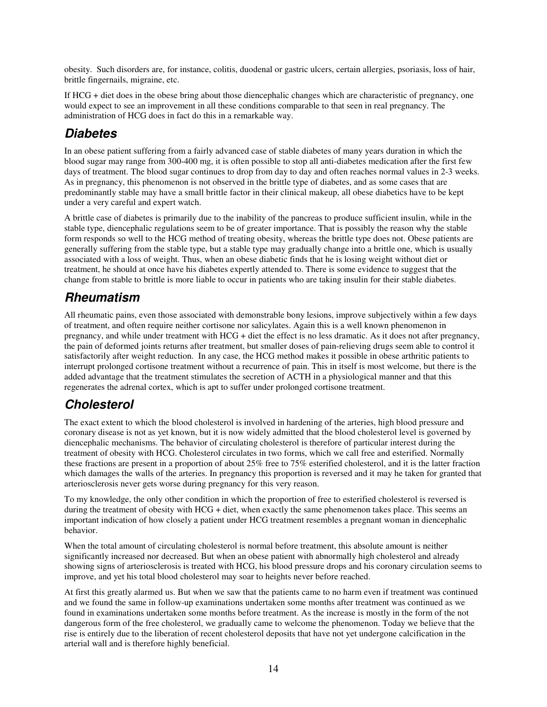obesity. Such disorders are, for instance, colitis, duodenal or gastric ulcers, certain allergies, psoriasis, loss of hair, brittle fingernails, migraine, etc.

If HCG + diet does in the obese bring about those diencephalic changes which are characteristic of pregnancy, one would expect to see an improvement in all these conditions comparable to that seen in real pregnancy. The administration of HCG does in fact do this in a remarkable way.

#### **Diabetes**

In an obese patient suffering from a fairly advanced case of stable diabetes of many years duration in which the blood sugar may range from 300-400 mg, it is often possible to stop all anti-diabetes medication after the first few days of treatment. The blood sugar continues to drop from day to day and often reaches normal values in 2-3 weeks. As in pregnancy, this phenomenon is not observed in the brittle type of diabetes, and as some cases that are predominantly stable may have a small brittle factor in their clinical makeup, all obese diabetics have to be kept under a very careful and expert watch.

A brittle case of diabetes is primarily due to the inability of the pancreas to produce sufficient insulin, while in the stable type, diencephalic regulations seem to be of greater importance. That is possibly the reason why the stable form responds so well to the HCG method of treating obesity, whereas the brittle type does not. Obese patients are generally suffering from the stable type, but a stable type may gradually change into a brittle one, which is usually associated with a loss of weight. Thus, when an obese diabetic finds that he is losing weight without diet or treatment, he should at once have his diabetes expertly attended to. There is some evidence to suggest that the change from stable to brittle is more liable to occur in patients who are taking insulin for their stable diabetes.

#### **Rheumatism**

All rheumatic pains, even those associated with demonstrable bony lesions, improve subjectively within a few days of treatment, and often require neither cortisone nor salicylates. Again this is a well known phenomenon in pregnancy, and while under treatment with HCG + diet the effect is no less dramatic. As it does not after pregnancy, the pain of deformed joints returns after treatment, but smaller doses of pain-relieving drugs seem able to control it satisfactorily after weight reduction. In any case, the HCG method makes it possible in obese arthritic patients to interrupt prolonged cortisone treatment without a recurrence of pain. This in itself is most welcome, but there is the added advantage that the treatment stimulates the secretion of ACTH in a physiological manner and that this regenerates the adrenal cortex, which is apt to suffer under prolonged cortisone treatment.

### **Cholesterol**

The exact extent to which the blood cholesterol is involved in hardening of the arteries, high blood pressure and coronary disease is not as yet known, but it is now widely admitted that the blood cholesterol level is governed by diencephalic mechanisms. The behavior of circulating cholesterol is therefore of particular interest during the treatment of obesity with HCG. Cholesterol circulates in two forms, which we call free and esterified. Normally these fractions are present in a proportion of about 25% free to 75% esterified cholesterol, and it is the latter fraction which damages the walls of the arteries. In pregnancy this proportion is reversed and it may he taken for granted that arteriosclerosis never gets worse during pregnancy for this very reason.

To my knowledge, the only other condition in which the proportion of free to esterified cholesterol is reversed is during the treatment of obesity with HCG + diet, when exactly the same phenomenon takes place. This seems an important indication of how closely a patient under HCG treatment resembles a pregnant woman in diencephalic behavior.

When the total amount of circulating cholesterol is normal before treatment, this absolute amount is neither significantly increased nor decreased. But when an obese patient with abnormally high cholesterol and already showing signs of arteriosclerosis is treated with HCG, his blood pressure drops and his coronary circulation seems to improve, and yet his total blood cholesterol may soar to heights never before reached.

At first this greatly alarmed us. But when we saw that the patients came to no harm even if treatment was continued and we found the same in follow-up examinations undertaken some months after treatment was continued as we found in examinations undertaken some months before treatment. As the increase is mostly in the form of the not dangerous form of the free cholesterol, we gradually came to welcome the phenomenon. Today we believe that the rise is entirely due to the liberation of recent cholesterol deposits that have not yet undergone calcification in the arterial wall and is therefore highly beneficial.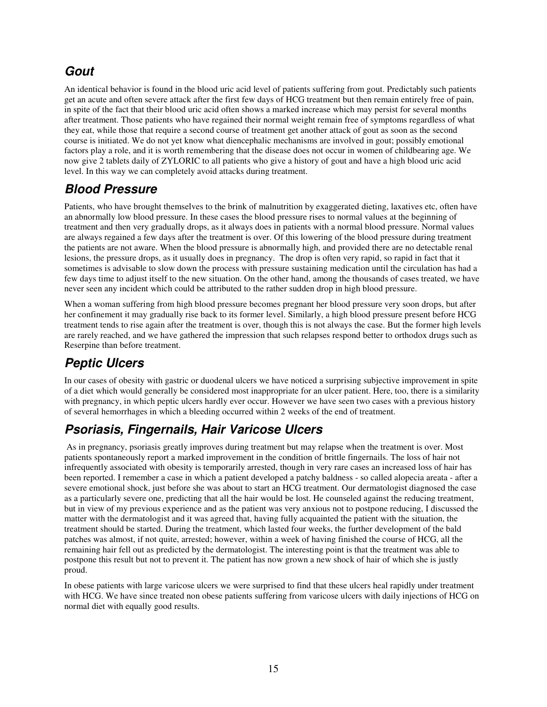#### **Gout**

An identical behavior is found in the blood uric acid level of patients suffering from gout. Predictably such patients get an acute and often severe attack after the first few days of HCG treatment but then remain entirely free of pain, in spite of the fact that their blood uric acid often shows a marked increase which may persist for several months after treatment. Those patients who have regained their normal weight remain free of symptoms regardless of what they eat, while those that require a second course of treatment get another attack of gout as soon as the second course is initiated. We do not yet know what diencephalic mechanisms are involved in gout; possibly emotional factors play a role, and it is worth remembering that the disease does not occur in women of childbearing age. We now give 2 tablets daily of ZYLORIC to all patients who give a history of gout and have a high blood uric acid level. In this way we can completely avoid attacks during treatment.

#### **Blood Pressure**

Patients, who have brought themselves to the brink of malnutrition by exaggerated dieting, laxatives etc, often have an abnormally low blood pressure. In these cases the blood pressure rises to normal values at the beginning of treatment and then very gradually drops, as it always does in patients with a normal blood pressure. Normal values are always regained a few days after the treatment is over. Of this lowering of the blood pressure during treatment the patients are not aware. When the blood pressure is abnormally high, and provided there are no detectable renal lesions, the pressure drops, as it usually does in pregnancy. The drop is often very rapid, so rapid in fact that it sometimes is advisable to slow down the process with pressure sustaining medication until the circulation has had a few days time to adjust itself to the new situation. On the other hand, among the thousands of cases treated, we have never seen any incident which could be attributed to the rather sudden drop in high blood pressure.

When a woman suffering from high blood pressure becomes pregnant her blood pressure very soon drops, but after her confinement it may gradually rise back to its former level. Similarly, a high blood pressure present before HCG treatment tends to rise again after the treatment is over, though this is not always the case. But the former high levels are rarely reached, and we have gathered the impression that such relapses respond better to orthodox drugs such as Reserpine than before treatment.

# **Peptic Ulcers**

In our cases of obesity with gastric or duodenal ulcers we have noticed a surprising subjective improvement in spite of a diet which would generally be considered most inappropriate for an ulcer patient. Here, too, there is a similarity with pregnancy, in which peptic ulcers hardly ever occur. However we have seen two cases with a previous history of several hemorrhages in which a bleeding occurred within 2 weeks of the end of treatment.

### **Psoriasis, Fingernails, Hair Varicose Ulcers**

 As in pregnancy, psoriasis greatly improves during treatment but may relapse when the treatment is over. Most patients spontaneously report a marked improvement in the condition of brittle fingernails. The loss of hair not infrequently associated with obesity is temporarily arrested, though in very rare cases an increased loss of hair has been reported. I remember a case in which a patient developed a patchy baldness - so called alopecia areata - after a severe emotional shock, just before she was about to start an HCG treatment. Our dermatologist diagnosed the case as a particularly severe one, predicting that all the hair would be lost. He counseled against the reducing treatment, but in view of my previous experience and as the patient was very anxious not to postpone reducing, I discussed the matter with the dermatologist and it was agreed that, having fully acquainted the patient with the situation, the treatment should be started. During the treatment, which lasted four weeks, the further development of the bald patches was almost, if not quite, arrested; however, within a week of having finished the course of HCG, all the remaining hair fell out as predicted by the dermatologist. The interesting point is that the treatment was able to postpone this result but not to prevent it. The patient has now grown a new shock of hair of which she is justly proud.

In obese patients with large varicose ulcers we were surprised to find that these ulcers heal rapidly under treatment with HCG. We have since treated non obese patients suffering from varicose ulcers with daily injections of HCG on normal diet with equally good results.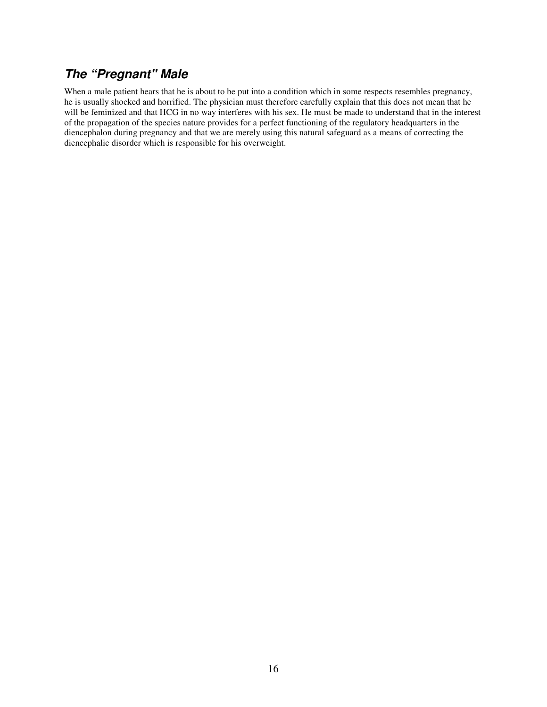#### **The "Pregnant" Male**

When a male patient hears that he is about to be put into a condition which in some respects resembles pregnancy, he is usually shocked and horrified. The physician must therefore carefully explain that this does not mean that he will be feminized and that HCG in no way interferes with his sex. He must be made to understand that in the interest of the propagation of the species nature provides for a perfect functioning of the regulatory headquarters in the diencephalon during pregnancy and that we are merely using this natural safeguard as a means of correcting the diencephalic disorder which is responsible for his overweight.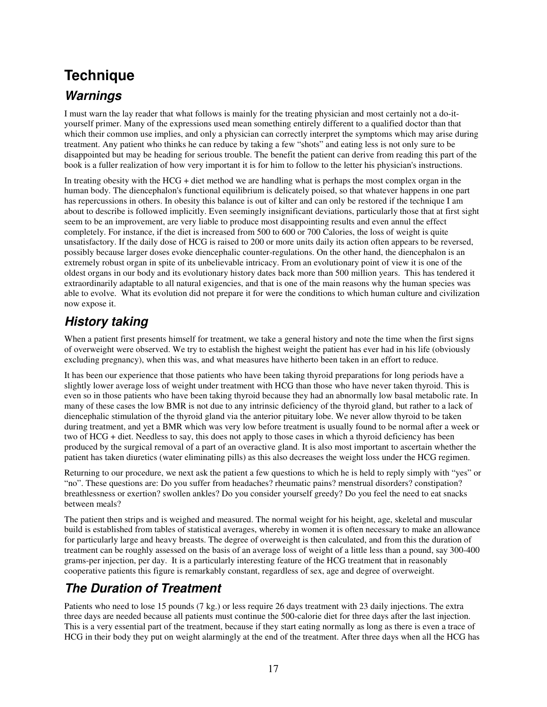# **Technique Warnings**

I must warn the lay reader that what follows is mainly for the treating physician and most certainly not a do-ityourself primer. Many of the expressions used mean something entirely different to a qualified doctor than that which their common use implies, and only a physician can correctly interpret the symptoms which may arise during treatment. Any patient who thinks he can reduce by taking a few "shots" and eating less is not only sure to be disappointed but may be heading for serious trouble. The benefit the patient can derive from reading this part of the book is a fuller realization of how very important it is for him to follow to the letter his physician's instructions.

In treating obesity with the HCG + diet method we are handling what is perhaps the most complex organ in the human body. The diencephalon's functional equilibrium is delicately poised, so that whatever happens in one part has repercussions in others. In obesity this balance is out of kilter and can only be restored if the technique I am about to describe is followed implicitly. Even seemingly insignificant deviations, particularly those that at first sight seem to be an improvement, are very liable to produce most disappointing results and even annul the effect completely. For instance, if the diet is increased from 500 to 600 or 700 Calories, the loss of weight is quite unsatisfactory. If the daily dose of HCG is raised to 200 or more units daily its action often appears to be reversed, possibly because larger doses evoke diencephalic counter-regulations. On the other hand, the diencephalon is an extremely robust organ in spite of its unbelievable intricacy. From an evolutionary point of view it is one of the oldest organs in our body and its evolutionary history dates back more than 500 million years. This has tendered it extraordinarily adaptable to all natural exigencies, and that is one of the main reasons why the human species was able to evolve. What its evolution did not prepare it for were the conditions to which human culture and civilization now expose it.

# **History taking**

When a patient first presents himself for treatment, we take a general history and note the time when the first signs of overweight were observed. We try to establish the highest weight the patient has ever had in his life (obviously excluding pregnancy), when this was, and what measures have hitherto been taken in an effort to reduce.

It has been our experience that those patients who have been taking thyroid preparations for long periods have a slightly lower average loss of weight under treatment with HCG than those who have never taken thyroid. This is even so in those patients who have been taking thyroid because they had an abnormally low basal metabolic rate. In many of these cases the low BMR is not due to any intrinsic deficiency of the thyroid gland, but rather to a lack of diencephalic stimulation of the thyroid gland via the anterior pituitary lobe. We never allow thyroid to be taken during treatment, and yet a BMR which was very low before treatment is usually found to be normal after a week or two of HCG + diet. Needless to say, this does not apply to those cases in which a thyroid deficiency has been produced by the surgical removal of a part of an overactive gland. It is also most important to ascertain whether the patient has taken diuretics (water eliminating pills) as this also decreases the weight loss under the HCG regimen.

Returning to our procedure, we next ask the patient a few questions to which he is held to reply simply with "yes" or "no". These questions are: Do you suffer from headaches? rheumatic pains? menstrual disorders? constipation? breathlessness or exertion? swollen ankles? Do you consider yourself greedy? Do you feel the need to eat snacks between meals?

The patient then strips and is weighed and measured. The normal weight for his height, age, skeletal and muscular build is established from tables of statistical averages, whereby in women it is often necessary to make an allowance for particularly large and heavy breasts. The degree of overweight is then calculated, and from this the duration of treatment can be roughly assessed on the basis of an average loss of weight of a little less than a pound, say 300-400 grams-per injection, per day. It is a particularly interesting feature of the HCG treatment that in reasonably cooperative patients this figure is remarkably constant, regardless of sex, age and degree of overweight.

# **The Duration of Treatment**

Patients who need to lose 15 pounds (7 kg.) or less require 26 days treatment with 23 daily injections. The extra three days are needed because all patients must continue the 500-calorie diet for three days after the last injection. This is a very essential part of the treatment, because if they start eating normally as long as there is even a trace of HCG in their body they put on weight alarmingly at the end of the treatment. After three days when all the HCG has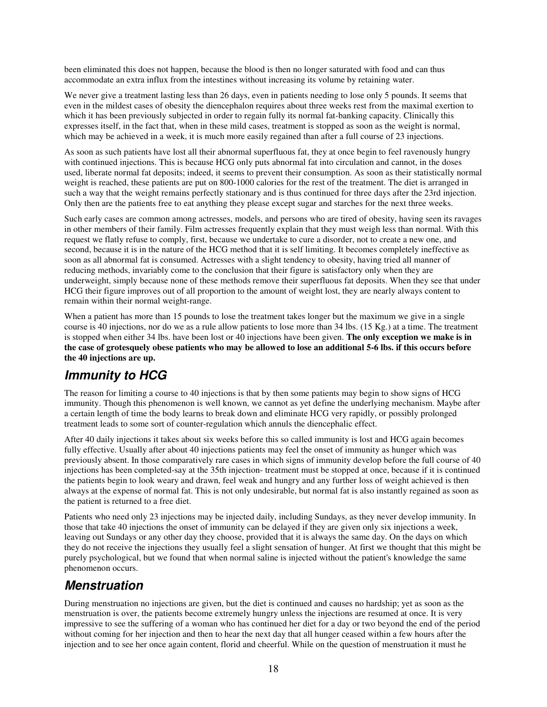been eliminated this does not happen, because the blood is then no longer saturated with food and can thus accommodate an extra influx from the intestines without increasing its volume by retaining water.

We never give a treatment lasting less than 26 days, even in patients needing to lose only 5 pounds. It seems that even in the mildest cases of obesity the diencephalon requires about three weeks rest from the maximal exertion to which it has been previously subjected in order to regain fully its normal fat-banking capacity. Clinically this expresses itself, in the fact that, when in these mild cases, treatment is stopped as soon as the weight is normal, which may be achieved in a week, it is much more easily regained than after a full course of 23 injections.

As soon as such patients have lost all their abnormal superfluous fat, they at once begin to feel ravenously hungry with continued injections. This is because HCG only puts abnormal fat into circulation and cannot, in the doses used, liberate normal fat deposits; indeed, it seems to prevent their consumption. As soon as their statistically normal weight is reached, these patients are put on 800-1000 calories for the rest of the treatment. The diet is arranged in such a way that the weight remains perfectly stationary and is thus continued for three days after the 23rd injection. Only then are the patients free to eat anything they please except sugar and starches for the next three weeks.

Such early cases are common among actresses, models, and persons who are tired of obesity, having seen its ravages in other members of their family. Film actresses frequently explain that they must weigh less than normal. With this request we flatly refuse to comply, first, because we undertake to cure a disorder, not to create a new one, and second, because it is in the nature of the HCG method that it is self limiting. It becomes completely ineffective as soon as all abnormal fat is consumed. Actresses with a slight tendency to obesity, having tried all manner of reducing methods, invariably come to the conclusion that their figure is satisfactory only when they are underweight, simply because none of these methods remove their superfluous fat deposits. When they see that under HCG their figure improves out of all proportion to the amount of weight lost, they are nearly always content to remain within their normal weight-range.

When a patient has more than 15 pounds to lose the treatment takes longer but the maximum we give in a single course is 40 injections, nor do we as a rule allow patients to lose more than 34 lbs. (15 Kg.) at a time. The treatment is stopped when either 34 lbs. have been lost or 40 injections have been given. **The only exception we make is in the case of grotesquely obese patients who may be allowed to lose an additional 5-6 lbs. if this occurs before the 40 injections are up.** 

#### **Immunity to HCG**

The reason for limiting a course to 40 injections is that by then some patients may begin to show signs of HCG immunity. Though this phenomenon is well known, we cannot as yet define the underlying mechanism. Maybe after a certain length of time the body learns to break down and eliminate HCG very rapidly, or possibly prolonged treatment leads to some sort of counter-regulation which annuls the diencephalic effect.

After 40 daily injections it takes about six weeks before this so called immunity is lost and HCG again becomes fully effective. Usually after about 40 injections patients may feel the onset of immunity as hunger which was previously absent. In those comparatively rare cases in which signs of immunity develop before the full course of 40 injections has been completed-say at the 35th injection- treatment must be stopped at once, because if it is continued the patients begin to look weary and drawn, feel weak and hungry and any further loss of weight achieved is then always at the expense of normal fat. This is not only undesirable, but normal fat is also instantly regained as soon as the patient is returned to a free diet.

Patients who need only 23 injections may be injected daily, including Sundays, as they never develop immunity. In those that take 40 injections the onset of immunity can be delayed if they are given only six injections a week, leaving out Sundays or any other day they choose, provided that it is always the same day. On the days on which they do not receive the injections they usually feel a slight sensation of hunger. At first we thought that this might be purely psychological, but we found that when normal saline is injected without the patient's knowledge the same phenomenon occurs.

#### **Menstruation**

During menstruation no injections are given, but the diet is continued and causes no hardship; yet as soon as the menstruation is over, the patients become extremely hungry unless the injections are resumed at once. It is very impressive to see the suffering of a woman who has continued her diet for a day or two beyond the end of the period without coming for her injection and then to hear the next day that all hunger ceased within a few hours after the injection and to see her once again content, florid and cheerful. While on the question of menstruation it must he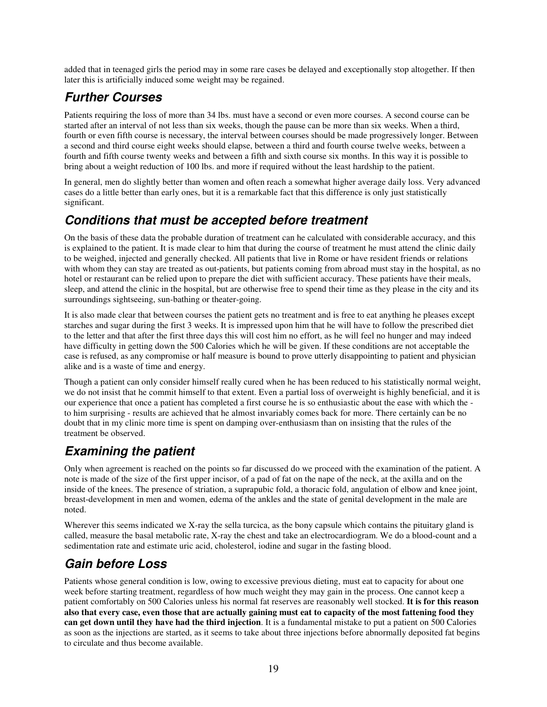added that in teenaged girls the period may in some rare cases be delayed and exceptionally stop altogether. If then later this is artificially induced some weight may be regained.

# **Further Courses**

Patients requiring the loss of more than 34 lbs. must have a second or even more courses. A second course can be started after an interval of not less than six weeks, though the pause can be more than six weeks. When a third, fourth or even fifth course is necessary, the interval between courses should be made progressively longer. Between a second and third course eight weeks should elapse, between a third and fourth course twelve weeks, between a fourth and fifth course twenty weeks and between a fifth and sixth course six months. In this way it is possible to bring about a weight reduction of 100 lbs. and more if required without the least hardship to the patient.

In general, men do slightly better than women and often reach a somewhat higher average daily loss. Very advanced cases do a little better than early ones, but it is a remarkable fact that this difference is only just statistically significant.

#### **Conditions that must be accepted before treatment**

On the basis of these data the probable duration of treatment can he calculated with considerable accuracy, and this is explained to the patient. It is made clear to him that during the course of treatment he must attend the clinic daily to be weighed, injected and generally checked. All patients that live in Rome or have resident friends or relations with whom they can stay are treated as out-patients, but patients coming from abroad must stay in the hospital, as no hotel or restaurant can be relied upon to prepare the diet with sufficient accuracy. These patients have their meals, sleep, and attend the clinic in the hospital, but are otherwise free to spend their time as they please in the city and its surroundings sightseeing, sun-bathing or theater-going.

It is also made clear that between courses the patient gets no treatment and is free to eat anything he pleases except starches and sugar during the first 3 weeks. It is impressed upon him that he will have to follow the prescribed diet to the letter and that after the first three days this will cost him no effort, as he will feel no hunger and may indeed have difficulty in getting down the 500 Calories which he will be given. If these conditions are not acceptable the case is refused, as any compromise or half measure is bound to prove utterly disappointing to patient and physician alike and is a waste of time and energy.

Though a patient can only consider himself really cured when he has been reduced to his statistically normal weight, we do not insist that he commit himself to that extent. Even a partial loss of overweight is highly beneficial, and it is our experience that once a patient has completed a first course he is so enthusiastic about the ease with which the to him surprising - results are achieved that he almost invariably comes back for more. There certainly can be no doubt that in my clinic more time is spent on damping over-enthusiasm than on insisting that the rules of the treatment be observed.

### **Examining the patient**

Only when agreement is reached on the points so far discussed do we proceed with the examination of the patient. A note is made of the size of the first upper incisor, of a pad of fat on the nape of the neck, at the axilla and on the inside of the knees. The presence of striation, a suprapubic fold, a thoracic fold, angulation of elbow and knee joint, breast-development in men and women, edema of the ankles and the state of genital development in the male are noted.

Wherever this seems indicated we X-ray the sella turcica, as the bony capsule which contains the pituitary gland is called, measure the basal metabolic rate, X-ray the chest and take an electrocardiogram. We do a blood-count and a sedimentation rate and estimate uric acid, cholesterol, iodine and sugar in the fasting blood.

### **Gain before Loss**

Patients whose general condition is low, owing to excessive previous dieting, must eat to capacity for about one week before starting treatment, regardless of how much weight they may gain in the process. One cannot keep a patient comfortably on 500 Calories unless his normal fat reserves are reasonably well stocked. **It is for this reason also that every case, even those that are actually gaining must eat to capacity of the most fattening food they can get down until they have had the third injection**. It is a fundamental mistake to put a patient on 500 Calories as soon as the injections are started, as it seems to take about three injections before abnormally deposited fat begins to circulate and thus become available.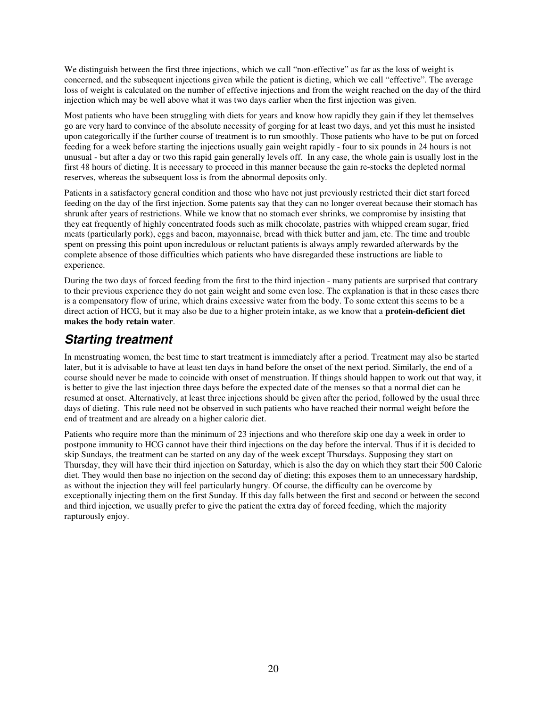We distinguish between the first three injections, which we call "non-effective" as far as the loss of weight is concerned, and the subsequent injections given while the patient is dieting, which we call "effective". The average loss of weight is calculated on the number of effective injections and from the weight reached on the day of the third injection which may be well above what it was two days earlier when the first injection was given.

Most patients who have been struggling with diets for years and know how rapidly they gain if they let themselves go are very hard to convince of the absolute necessity of gorging for at least two days, and yet this must he insisted upon categorically if the further course of treatment is to run smoothly. Those patients who have to be put on forced feeding for a week before starting the injections usually gain weight rapidly - four to six pounds in 24 hours is not unusual - but after a day or two this rapid gain generally levels off. In any case, the whole gain is usually lost in the first 48 hours of dieting. It is necessary to proceed in this manner because the gain re-stocks the depleted normal reserves, whereas the subsequent loss is from the abnormal deposits only.

Patients in a satisfactory general condition and those who have not just previously restricted their diet start forced feeding on the day of the first injection. Some patents say that they can no longer overeat because their stomach has shrunk after years of restrictions. While we know that no stomach ever shrinks, we compromise by insisting that they eat frequently of highly concentrated foods such as milk chocolate, pastries with whipped cream sugar, fried meats (particularly pork), eggs and bacon, mayonnaise, bread with thick butter and jam, etc. The time and trouble spent on pressing this point upon incredulous or reluctant patients is always amply rewarded afterwards by the complete absence of those difficulties which patients who have disregarded these instructions are liable to experience.

During the two days of forced feeding from the first to the third injection - many patients are surprised that contrary to their previous experience they do not gain weight and some even lose. The explanation is that in these cases there is a compensatory flow of urine, which drains excessive water from the body. To some extent this seems to be a direct action of HCG, but it may also be due to a higher protein intake, as we know that a **protein-deficient diet makes the body retain water**.

#### **Starting treatment**

In menstruating women, the best time to start treatment is immediately after a period. Treatment may also be started later, but it is advisable to have at least ten days in hand before the onset of the next period. Similarly, the end of a course should never be made to coincide with onset of menstruation. If things should happen to work out that way, it is better to give the last injection three days before the expected date of the menses so that a normal diet can he resumed at onset. Alternatively, at least three injections should be given after the period, followed by the usual three days of dieting. This rule need not be observed in such patients who have reached their normal weight before the end of treatment and are already on a higher caloric diet.

Patients who require more than the minimum of 23 injections and who therefore skip one day a week in order to postpone immunity to HCG cannot have their third injections on the day before the interval. Thus if it is decided to skip Sundays, the treatment can be started on any day of the week except Thursdays. Supposing they start on Thursday, they will have their third injection on Saturday, which is also the day on which they start their 500 Calorie diet. They would then base no injection on the second day of dieting; this exposes them to an unnecessary hardship, as without the injection they will feel particularly hungry. Of course, the difficulty can be overcome by exceptionally injecting them on the first Sunday. If this day falls between the first and second or between the second and third injection, we usually prefer to give the patient the extra day of forced feeding, which the majority rapturously enjoy.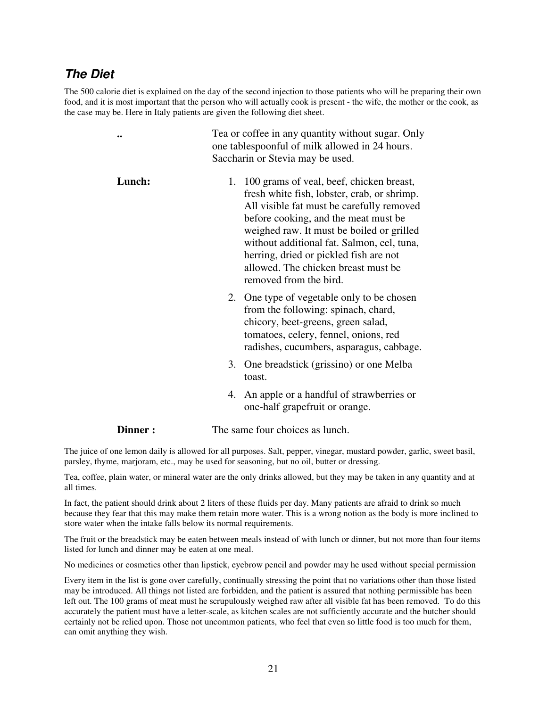#### **The Diet**

The 500 calorie diet is explained on the day of the second injection to those patients who will be preparing their own food, and it is most important that the person who will actually cook is present - the wife, the mother or the cook, as the case may be. Here in Italy patients are given the following diet sheet.

| $\bullet \bullet$ | Tea or coffee in any quantity without sugar. Only |
|-------------------|---------------------------------------------------|
|                   | one tables poonful of milk allowed in 24 hours.   |
|                   | Saccharin or Stevia may be used.                  |

| 1. 100 grams of veal, beef, chicken breast,<br>fresh white fish, lobster, crab, or shrimp. |
|--------------------------------------------------------------------------------------------|
| All visible fat must be carefully removed                                                  |
| before cooking, and the meat must be                                                       |
| weighed raw. It must be boiled or grilled                                                  |
| without additional fat. Salmon, eel, tuna,                                                 |
| herring, dried or pickled fish are not                                                     |
| allowed. The chicken breast must be                                                        |
| removed from the bird.                                                                     |
|                                                                                            |

- 2. One type of vegetable only to be chosen from the following: spinach, chard, chicory, beet-greens, green salad, tomatoes, celery, fennel, onions, red radishes, cucumbers, asparagus, cabbage.
- 3. One breadstick (grissino) or one Melba toast.
- 4. An apple or a handful of strawberries or one-half grapefruit or orange.

**Dinner :** The same four choices as lunch.

The juice of one lemon daily is allowed for all purposes. Salt, pepper, vinegar, mustard powder, garlic, sweet basil, parsley, thyme, marjoram, etc., may be used for seasoning, but no oil, butter or dressing.

Tea, coffee, plain water, or mineral water are the only drinks allowed, but they may be taken in any quantity and at all times.

In fact, the patient should drink about 2 liters of these fluids per day. Many patients are afraid to drink so much because they fear that this may make them retain more water. This is a wrong notion as the body is more inclined to store water when the intake falls below its normal requirements.

The fruit or the breadstick may be eaten between meals instead of with lunch or dinner, but not more than four items listed for lunch and dinner may be eaten at one meal.

No medicines or cosmetics other than lipstick, eyebrow pencil and powder may he used without special permission

Every item in the list is gone over carefully, continually stressing the point that no variations other than those listed may be introduced. All things not listed are forbidden, and the patient is assured that nothing permissible has been left out. The 100 grams of meat must he scrupulously weighed raw after all visible fat has been removed. To do this accurately the patient must have a letter-scale, as kitchen scales are not sufficiently accurate and the butcher should certainly not be relied upon. Those not uncommon patients, who feel that even so little food is too much for them, can omit anything they wish.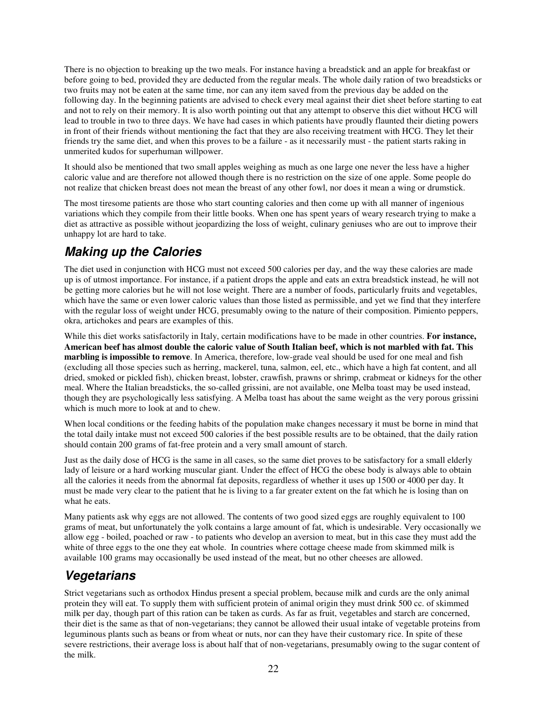There is no objection to breaking up the two meals. For instance having a breadstick and an apple for breakfast or before going to bed, provided they are deducted from the regular meals. The whole daily ration of two breadsticks or two fruits may not be eaten at the same time, nor can any item saved from the previous day be added on the following day. In the beginning patients are advised to check every meal against their diet sheet before starting to eat and not to rely on their memory. It is also worth pointing out that any attempt to observe this diet without HCG will lead to trouble in two to three days. We have had cases in which patients have proudly flaunted their dieting powers in front of their friends without mentioning the fact that they are also receiving treatment with HCG. They let their friends try the same diet, and when this proves to be a failure - as it necessarily must - the patient starts raking in unmerited kudos for superhuman willpower.

It should also be mentioned that two small apples weighing as much as one large one never the less have a higher caloric value and are therefore not allowed though there is no restriction on the size of one apple. Some people do not realize that chicken breast does not mean the breast of any other fowl, nor does it mean a wing or drumstick.

The most tiresome patients are those who start counting calories and then come up with all manner of ingenious variations which they compile from their little books. When one has spent years of weary research trying to make a diet as attractive as possible without jeopardizing the loss of weight, culinary geniuses who are out to improve their unhappy lot are hard to take.

#### **Making up the Calories**

The diet used in conjunction with HCG must not exceed 500 calories per day, and the way these calories are made up is of utmost importance. For instance, if a patient drops the apple and eats an extra breadstick instead, he will not be getting more calories but he will not lose weight. There are a number of foods, particularly fruits and vegetables, which have the same or even lower caloric values than those listed as permissible, and yet we find that they interfere with the regular loss of weight under HCG, presumably owing to the nature of their composition. Pimiento peppers, okra, artichokes and pears are examples of this.

While this diet works satisfactorily in Italy, certain modifications have to be made in other countries. **For instance, American beef has almost double the caloric value of South Italian beef, which is not marbled with fat. This marbling is impossible to remove**. In America, therefore, low-grade veal should be used for one meal and fish (excluding all those species such as herring, mackerel, tuna, salmon, eel, etc., which have a high fat content, and all dried, smoked or pickled fish), chicken breast, lobster, crawfish, prawns or shrimp, crabmeat or kidneys for the other meal. Where the Italian breadsticks, the so-called grissini, are not available, one Melba toast may be used instead, though they are psychologically less satisfying. A Melba toast has about the same weight as the very porous grissini which is much more to look at and to chew.

When local conditions or the feeding habits of the population make changes necessary it must be borne in mind that the total daily intake must not exceed 500 calories if the best possible results are to be obtained, that the daily ration should contain 200 grams of fat-free protein and a very small amount of starch.

Just as the daily dose of HCG is the same in all cases, so the same diet proves to be satisfactory for a small elderly lady of leisure or a hard working muscular giant. Under the effect of HCG the obese body is always able to obtain all the calories it needs from the abnormal fat deposits, regardless of whether it uses up 1500 or 4000 per day. It must be made very clear to the patient that he is living to a far greater extent on the fat which he is losing than on what he eats.

Many patients ask why eggs are not allowed. The contents of two good sized eggs are roughly equivalent to 100 grams of meat, but unfortunately the yolk contains a large amount of fat, which is undesirable. Very occasionally we allow egg - boiled, poached or raw - to patients who develop an aversion to meat, but in this case they must add the white of three eggs to the one they eat whole. In countries where cottage cheese made from skimmed milk is available 100 grams may occasionally be used instead of the meat, but no other cheeses are allowed.

#### **Vegetarians**

Strict vegetarians such as orthodox Hindus present a special problem, because milk and curds are the only animal protein they will eat. To supply them with sufficient protein of animal origin they must drink 500 cc. of skimmed milk per day, though part of this ration can be taken as curds. As far as fruit, vegetables and starch are concerned, their diet is the same as that of non-vegetarians; they cannot be allowed their usual intake of vegetable proteins from leguminous plants such as beans or from wheat or nuts, nor can they have their customary rice. In spite of these severe restrictions, their average loss is about half that of non-vegetarians, presumably owing to the sugar content of the milk.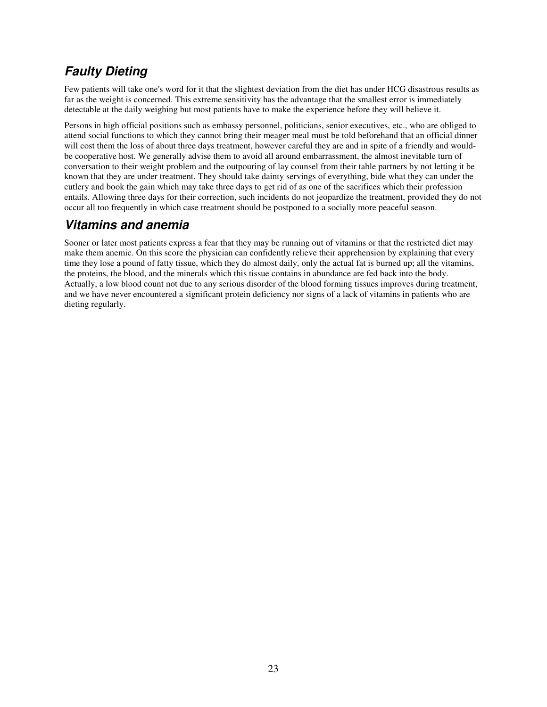#### **Faulty Dieting**

Few patients will take one's word for it that the slightest deviation from the diet has under HCG disastrous results as far as the weight is concerned. This extreme sensitivity has the advantage that the smallest error is immediately detectable at the daily weighing but most patients have to make the experience before they will believe it.

Persons in high official positions such as embassy personnel, politicians, senior executives, etc., who are obliged to attend social functions to which they cannot bring their meager meal must be told beforehand that an official dinner will cost them the loss of about three days treatment, however careful they are and in spite of a friendly and wouldbe cooperative host. We generally advise them to avoid all around embarrassment, the almost inevitable turn of conversation to their weight problem and the outpouring of lay counsel from their table partners by not letting it be known that they are under treatment. They should take dainty servings of everything, bide what they can under the cutlery and book the gain which may take three days to get rid of as one of the sacrifices which their profession entails. Allowing three days for their correction, such incidents do not jeopardize the treatment, provided they do not occur all too frequently in which case treatment should be postponed to a socially more peaceful season.

#### **Vitamins and anemia**

Sooner or later most patients express a fear that they may be running out of vitamins or that the restricted diet may make them anemic. On this score the physician can confidently relieve their apprehension by explaining that every time they lose a pound of fatty tissue, which they do almost daily, only the actual fat is burned up; all the vitamins, the proteins, the blood, and the minerals which this tissue contains in abundance are fed back into the body. Actually, a low blood count not due to any serious disorder of the blood forming tissues improves during treatment, and we have never encountered a significant protein deficiency nor signs of a lack of vitamins in patients who are dieting regularly.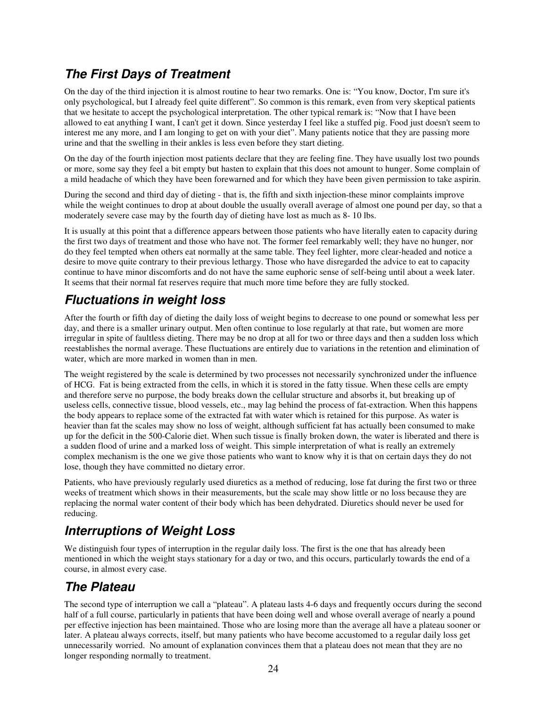### **The First Days of Treatment**

On the day of the third injection it is almost routine to hear two remarks. One is: "You know, Doctor, I'm sure it's only psychological, but I already feel quite different". So common is this remark, even from very skeptical patients that we hesitate to accept the psychological interpretation. The other typical remark is: "Now that I have been allowed to eat anything I want, I can't get it down. Since yesterday I feel like a stuffed pig. Food just doesn't seem to interest me any more, and I am longing to get on with your diet". Many patients notice that they are passing more urine and that the swelling in their ankles is less even before they start dieting.

On the day of the fourth injection most patients declare that they are feeling fine. They have usually lost two pounds or more, some say they feel a bit empty but hasten to explain that this does not amount to hunger. Some complain of a mild headache of which they have been forewarned and for which they have been given permission to take aspirin.

During the second and third day of dieting - that is, the fifth and sixth injection-these minor complaints improve while the weight continues to drop at about double the usually overall average of almost one pound per day, so that a moderately severe case may by the fourth day of dieting have lost as much as 8- 10 lbs.

It is usually at this point that a difference appears between those patients who have literally eaten to capacity during the first two days of treatment and those who have not. The former feel remarkably well; they have no hunger, nor do they feel tempted when others eat normally at the same table. They feel lighter, more clear-headed and notice a desire to move quite contrary to their previous lethargy. Those who have disregarded the advice to eat to capacity continue to have minor discomforts and do not have the same euphoric sense of self-being until about a week later. It seems that their normal fat reserves require that much more time before they are fully stocked.

#### **Fluctuations in weight loss**

After the fourth or fifth day of dieting the daily loss of weight begins to decrease to one pound or somewhat less per day, and there is a smaller urinary output. Men often continue to lose regularly at that rate, but women are more irregular in spite of faultless dieting. There may be no drop at all for two or three days and then a sudden loss which reestablishes the normal average. These fluctuations are entirely due to variations in the retention and elimination of water, which are more marked in women than in men.

The weight registered by the scale is determined by two processes not necessarily synchronized under the influence of HCG. Fat is being extracted from the cells, in which it is stored in the fatty tissue. When these cells are empty and therefore serve no purpose, the body breaks down the cellular structure and absorbs it, but breaking up of useless cells, connective tissue, blood vessels, etc., may lag behind the process of fat-extraction. When this happens the body appears to replace some of the extracted fat with water which is retained for this purpose. As water is heavier than fat the scales may show no loss of weight, although sufficient fat has actually been consumed to make up for the deficit in the 500-Calorie diet. When such tissue is finally broken down, the water is liberated and there is a sudden flood of urine and a marked loss of weight. This simple interpretation of what is really an extremely complex mechanism is the one we give those patients who want to know why it is that on certain days they do not lose, though they have committed no dietary error.

Patients, who have previously regularly used diuretics as a method of reducing, lose fat during the first two or three weeks of treatment which shows in their measurements, but the scale may show little or no loss because they are replacing the normal water content of their body which has been dehydrated. Diuretics should never be used for reducing.

#### **Interruptions of Weight Loss**

We distinguish four types of interruption in the regular daily loss. The first is the one that has already been mentioned in which the weight stays stationary for a day or two, and this occurs, particularly towards the end of a course, in almost every case.

#### **The Plateau**

The second type of interruption we call a "plateau". A plateau lasts 4-6 days and frequently occurs during the second half of a full course, particularly in patients that have been doing well and whose overall average of nearly a pound per effective injection has been maintained. Those who are losing more than the average all have a plateau sooner or later. A plateau always corrects, itself, but many patients who have become accustomed to a regular daily loss get unnecessarily worried. No amount of explanation convinces them that a plateau does not mean that they are no longer responding normally to treatment.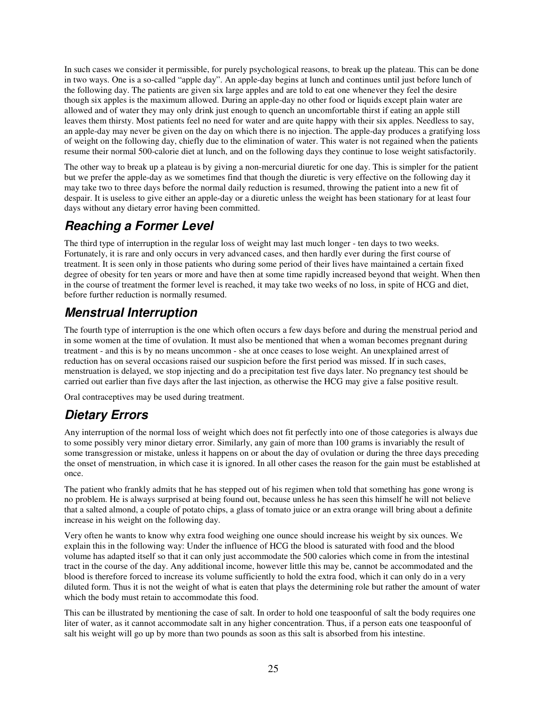In such cases we consider it permissible, for purely psychological reasons, to break up the plateau. This can be done in two ways. One is a so-called "apple day". An apple-day begins at lunch and continues until just before lunch of the following day. The patients are given six large apples and are told to eat one whenever they feel the desire though six apples is the maximum allowed. During an apple-day no other food or liquids except plain water are allowed and of water they may only drink just enough to quench an uncomfortable thirst if eating an apple still leaves them thirsty. Most patients feel no need for water and are quite happy with their six apples. Needless to say, an apple-day may never be given on the day on which there is no injection. The apple-day produces a gratifying loss of weight on the following day, chiefly due to the elimination of water. This water is not regained when the patients resume their normal 500-calorie diet at lunch, and on the following days they continue to lose weight satisfactorily.

The other way to break up a plateau is by giving a non-mercurial diuretic for one day. This is simpler for the patient but we prefer the apple-day as we sometimes find that though the diuretic is very effective on the following day it may take two to three days before the normal daily reduction is resumed, throwing the patient into a new fit of despair. It is useless to give either an apple-day or a diuretic unless the weight has been stationary for at least four days without any dietary error having been committed.

#### **Reaching a Former Level**

The third type of interruption in the regular loss of weight may last much longer - ten days to two weeks. Fortunately, it is rare and only occurs in very advanced cases, and then hardly ever during the first course of treatment. It is seen only in those patients who during some period of their lives have maintained a certain fixed degree of obesity for ten years or more and have then at some time rapidly increased beyond that weight. When then in the course of treatment the former level is reached, it may take two weeks of no loss, in spite of HCG and diet, before further reduction is normally resumed.

# **Menstrual Interruption**

The fourth type of interruption is the one which often occurs a few days before and during the menstrual period and in some women at the time of ovulation. It must also be mentioned that when a woman becomes pregnant during treatment - and this is by no means uncommon - she at once ceases to lose weight. An unexplained arrest of reduction has on several occasions raised our suspicion before the first period was missed. If in such cases, menstruation is delayed, we stop injecting and do a precipitation test five days later. No pregnancy test should be carried out earlier than five days after the last injection, as otherwise the HCG may give a false positive result.

Oral contraceptives may be used during treatment.

#### **Dietary Errors**

Any interruption of the normal loss of weight which does not fit perfectly into one of those categories is always due to some possibly very minor dietary error. Similarly, any gain of more than 100 grams is invariably the result of some transgression or mistake, unless it happens on or about the day of ovulation or during the three days preceding the onset of menstruation, in which case it is ignored. In all other cases the reason for the gain must be established at once.

The patient who frankly admits that he has stepped out of his regimen when told that something has gone wrong is no problem. He is always surprised at being found out, because unless he has seen this himself he will not believe that a salted almond, a couple of potato chips, a glass of tomato juice or an extra orange will bring about a definite increase in his weight on the following day.

Very often he wants to know why extra food weighing one ounce should increase his weight by six ounces. We explain this in the following way: Under the influence of HCG the blood is saturated with food and the blood volume has adapted itself so that it can only just accommodate the 500 calories which come in from the intestinal tract in the course of the day. Any additional income, however little this may be, cannot be accommodated and the blood is therefore forced to increase its volume sufficiently to hold the extra food, which it can only do in a very diluted form. Thus it is not the weight of what is eaten that plays the determining role but rather the amount of water which the body must retain to accommodate this food.

This can be illustrated by mentioning the case of salt. In order to hold one teaspoonful of salt the body requires one liter of water, as it cannot accommodate salt in any higher concentration. Thus, if a person eats one teaspoonful of salt his weight will go up by more than two pounds as soon as this salt is absorbed from his intestine.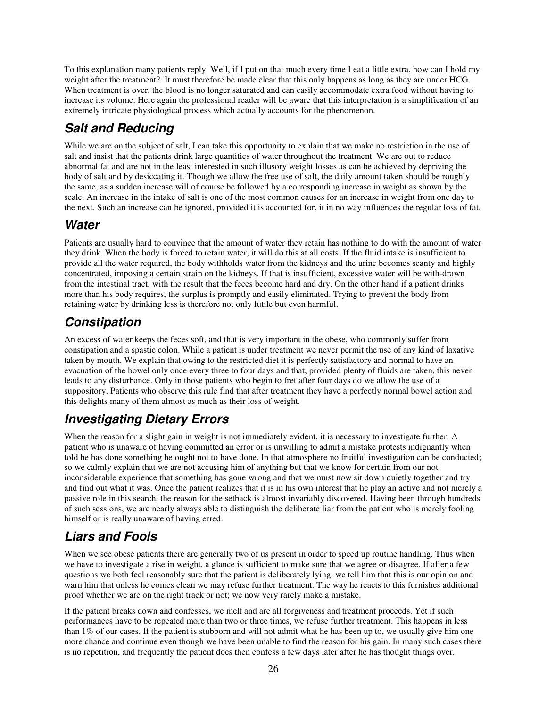To this explanation many patients reply: Well, if I put on that much every time I eat a little extra, how can I hold my weight after the treatment? It must therefore be made clear that this only happens as long as they are under HCG. When treatment is over, the blood is no longer saturated and can easily accommodate extra food without having to increase its volume. Here again the professional reader will be aware that this interpretation is a simplification of an extremely intricate physiological process which actually accounts for the phenomenon.

# **Salt and Reducing**

While we are on the subject of salt, I can take this opportunity to explain that we make no restriction in the use of salt and insist that the patients drink large quantities of water throughout the treatment. We are out to reduce abnormal fat and are not in the least interested in such illusory weight losses as can be achieved by depriving the body of salt and by desiccating it. Though we allow the free use of salt, the daily amount taken should be roughly the same, as a sudden increase will of course be followed by a corresponding increase in weight as shown by the scale. An increase in the intake of salt is one of the most common causes for an increase in weight from one day to the next. Such an increase can be ignored, provided it is accounted for, it in no way influences the regular loss of fat.

#### **Water**

Patients are usually hard to convince that the amount of water they retain has nothing to do with the amount of water they drink. When the body is forced to retain water, it will do this at all costs. If the fluid intake is insufficient to provide all the water required, the body withholds water from the kidneys and the urine becomes scanty and highly concentrated, imposing a certain strain on the kidneys. If that is insufficient, excessive water will be with-drawn from the intestinal tract, with the result that the feces become hard and dry. On the other hand if a patient drinks more than his body requires, the surplus is promptly and easily eliminated. Trying to prevent the body from retaining water by drinking less is therefore not only futile but even harmful.

# **Constipation**

An excess of water keeps the feces soft, and that is very important in the obese, who commonly suffer from constipation and a spastic colon. While a patient is under treatment we never permit the use of any kind of laxative taken by mouth. We explain that owing to the restricted diet it is perfectly satisfactory and normal to have an evacuation of the bowel only once every three to four days and that, provided plenty of fluids are taken, this never leads to any disturbance. Only in those patients who begin to fret after four days do we allow the use of a suppository. Patients who observe this rule find that after treatment they have a perfectly normal bowel action and this delights many of them almost as much as their loss of weight.

# **Investigating Dietary Errors**

When the reason for a slight gain in weight is not immediately evident, it is necessary to investigate further. A patient who is unaware of having committed an error or is unwilling to admit a mistake protests indignantly when told he has done something he ought not to have done. In that atmosphere no fruitful investigation can be conducted; so we calmly explain that we are not accusing him of anything but that we know for certain from our not inconsiderable experience that something has gone wrong and that we must now sit down quietly together and try and find out what it was. Once the patient realizes that it is in his own interest that he play an active and not merely a passive role in this search, the reason for the setback is almost invariably discovered. Having been through hundreds of such sessions, we are nearly always able to distinguish the deliberate liar from the patient who is merely fooling himself or is really unaware of having erred.

# **Liars and Fools**

When we see obese patients there are generally two of us present in order to speed up routine handling. Thus when we have to investigate a rise in weight, a glance is sufficient to make sure that we agree or disagree. If after a few questions we both feel reasonably sure that the patient is deliberately lying, we tell him that this is our opinion and warn him that unless he comes clean we may refuse further treatment. The way he reacts to this furnishes additional proof whether we are on the right track or not; we now very rarely make a mistake.

If the patient breaks down and confesses, we melt and are all forgiveness and treatment proceeds. Yet if such performances have to be repeated more than two or three times, we refuse further treatment. This happens in less than 1% of our cases. If the patient is stubborn and will not admit what he has been up to, we usually give him one more chance and continue even though we have been unable to find the reason for his gain. In many such cases there is no repetition, and frequently the patient does then confess a few days later after he has thought things over.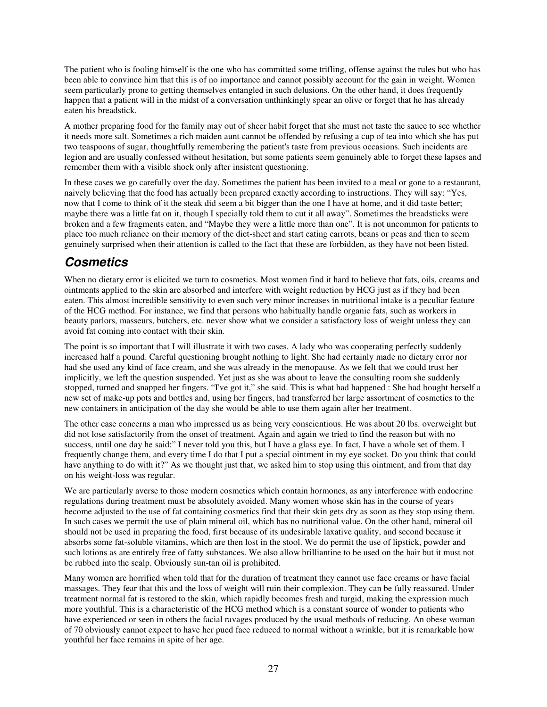The patient who is fooling himself is the one who has committed some trifling, offense against the rules but who has been able to convince him that this is of no importance and cannot possibly account for the gain in weight. Women seem particularly prone to getting themselves entangled in such delusions. On the other hand, it does frequently happen that a patient will in the midst of a conversation unthinkingly spear an olive or forget that he has already eaten his breadstick.

A mother preparing food for the family may out of sheer habit forget that she must not taste the sauce to see whether it needs more salt. Sometimes a rich maiden aunt cannot be offended by refusing a cup of tea into which she has put two teaspoons of sugar, thoughtfully remembering the patient's taste from previous occasions. Such incidents are legion and are usually confessed without hesitation, but some patients seem genuinely able to forget these lapses and remember them with a visible shock only after insistent questioning.

In these cases we go carefully over the day. Sometimes the patient has been invited to a meal or gone to a restaurant, naively believing that the food has actually been prepared exactly according to instructions. They will say: "Yes, now that I come to think of it the steak did seem a bit bigger than the one I have at home, and it did taste better; maybe there was a little fat on it, though I specially told them to cut it all away". Sometimes the breadsticks were broken and a few fragments eaten, and "Maybe they were a little more than one". It is not uncommon for patients to place too much reliance on their memory of the diet-sheet and start eating carrots, beans or peas and then to seem genuinely surprised when their attention is called to the fact that these are forbidden, as they have not been listed.

#### **Cosmetics**

When no dietary error is elicited we turn to cosmetics. Most women find it hard to believe that fats, oils, creams and ointments applied to the skin are absorbed and interfere with weight reduction by HCG just as if they had been eaten. This almost incredible sensitivity to even such very minor increases in nutritional intake is a peculiar feature of the HCG method. For instance, we find that persons who habitually handle organic fats, such as workers in beauty parlors, masseurs, butchers, etc. never show what we consider a satisfactory loss of weight unless they can avoid fat coming into contact with their skin.

The point is so important that I will illustrate it with two cases. A lady who was cooperating perfectly suddenly increased half a pound. Careful questioning brought nothing to light. She had certainly made no dietary error nor had she used any kind of face cream, and she was already in the menopause. As we felt that we could trust her implicitly, we left the question suspended. Yet just as she was about to leave the consulting room she suddenly stopped, turned and snapped her fingers. "I've got it," she said. This is what had happened : She had bought herself a new set of make-up pots and bottles and, using her fingers, had transferred her large assortment of cosmetics to the new containers in anticipation of the day she would be able to use them again after her treatment.

The other case concerns a man who impressed us as being very conscientious. He was about 20 lbs. overweight but did not lose satisfactorily from the onset of treatment. Again and again we tried to find the reason but with no success, until one day he said:" I never told you this, but I have a glass eye. In fact, I have a whole set of them. I frequently change them, and every time I do that I put a special ointment in my eye socket. Do you think that could have anything to do with it?" As we thought just that, we asked him to stop using this ointment, and from that day on his weight-loss was regular.

We are particularly averse to those modern cosmetics which contain hormones, as any interference with endocrine regulations during treatment must be absolutely avoided. Many women whose skin has in the course of years become adjusted to the use of fat containing cosmetics find that their skin gets dry as soon as they stop using them. In such cases we permit the use of plain mineral oil, which has no nutritional value. On the other hand, mineral oil should not be used in preparing the food, first because of its undesirable laxative quality, and second because it absorbs some fat-soluble vitamins, which are then lost in the stool. We do permit the use of lipstick, powder and such lotions as are entirely free of fatty substances. We also allow brilliantine to be used on the hair but it must not be rubbed into the scalp. Obviously sun-tan oil is prohibited.

Many women are horrified when told that for the duration of treatment they cannot use face creams or have facial massages. They fear that this and the loss of weight will ruin their complexion. They can be fully reassured. Under treatment normal fat is restored to the skin, which rapidly becomes fresh and turgid, making the expression much more youthful. This is a characteristic of the HCG method which is a constant source of wonder to patients who have experienced or seen in others the facial ravages produced by the usual methods of reducing. An obese woman of 70 obviously cannot expect to have her pued face reduced to normal without a wrinkle, but it is remarkable how youthful her face remains in spite of her age.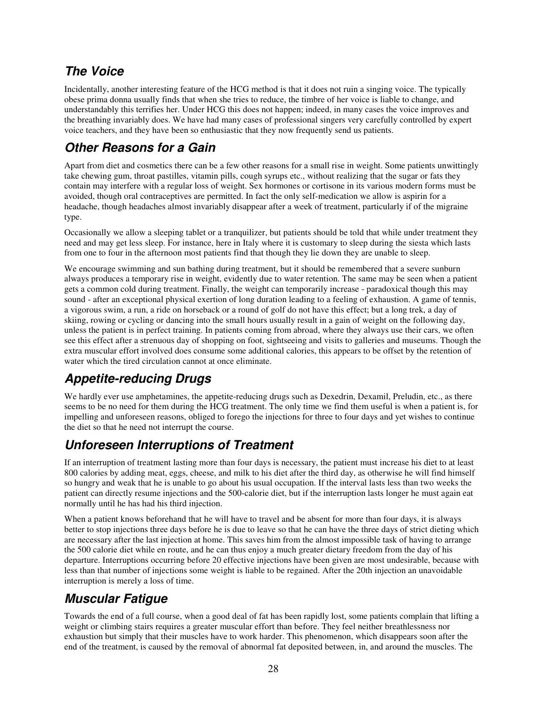#### **The Voice**

Incidentally, another interesting feature of the HCG method is that it does not ruin a singing voice. The typically obese prima donna usually finds that when she tries to reduce, the timbre of her voice is liable to change, and understandably this terrifies her. Under HCG this does not happen; indeed, in many cases the voice improves and the breathing invariably does. We have had many cases of professional singers very carefully controlled by expert voice teachers, and they have been so enthusiastic that they now frequently send us patients.

# **Other Reasons for a Gain**

Apart from diet and cosmetics there can be a few other reasons for a small rise in weight. Some patients unwittingly take chewing gum, throat pastilles, vitamin pills, cough syrups etc., without realizing that the sugar or fats they contain may interfere with a regular loss of weight. Sex hormones or cortisone in its various modern forms must be avoided, though oral contraceptives are permitted. In fact the only self-medication we allow is aspirin for a headache, though headaches almost invariably disappear after a week of treatment, particularly if of the migraine type.

Occasionally we allow a sleeping tablet or a tranquilizer, but patients should be told that while under treatment they need and may get less sleep. For instance, here in Italy where it is customary to sleep during the siesta which lasts from one to four in the afternoon most patients find that though they lie down they are unable to sleep.

We encourage swimming and sun bathing during treatment, but it should be remembered that a severe sunburn always produces a temporary rise in weight, evidently due to water retention. The same may be seen when a patient gets a common cold during treatment. Finally, the weight can temporarily increase - paradoxical though this may sound - after an exceptional physical exertion of long duration leading to a feeling of exhaustion. A game of tennis, a vigorous swim, a run, a ride on horseback or a round of golf do not have this effect; but a long trek, a day of skiing, rowing or cycling or dancing into the small hours usually result in a gain of weight on the following day, unless the patient is in perfect training. In patients coming from abroad, where they always use their cars, we often see this effect after a strenuous day of shopping on foot, sightseeing and visits to galleries and museums. Though the extra muscular effort involved does consume some additional calories, this appears to be offset by the retention of water which the tired circulation cannot at once eliminate.

# **Appetite-reducing Drugs**

We hardly ever use amphetamines, the appetite-reducing drugs such as Dexedrin, Dexamil, Preludin, etc., as there seems to be no need for them during the HCG treatment. The only time we find them useful is when a patient is, for impelling and unforeseen reasons, obliged to forego the injections for three to four days and yet wishes to continue the diet so that he need not interrupt the course.

### **Unforeseen Interruptions of Treatment**

If an interruption of treatment lasting more than four days is necessary, the patient must increase his diet to at least 800 calories by adding meat, eggs, cheese, and milk to his diet after the third day, as otherwise he will find himself so hungry and weak that he is unable to go about his usual occupation. If the interval lasts less than two weeks the patient can directly resume injections and the 500-calorie diet, but if the interruption lasts longer he must again eat normally until he has had his third injection.

When a patient knows beforehand that he will have to travel and be absent for more than four days, it is always better to stop injections three days before he is due to leave so that he can have the three days of strict dieting which are necessary after the last injection at home. This saves him from the almost impossible task of having to arrange the 500 calorie diet while en route, and he can thus enjoy a much greater dietary freedom from the day of his departure. Interruptions occurring before 20 effective injections have been given are most undesirable, because with less than that number of injections some weight is liable to be regained. After the 20th injection an unavoidable interruption is merely a loss of time.

### **Muscular Fatigue**

Towards the end of a full course, when a good deal of fat has been rapidly lost, some patients complain that lifting a weight or climbing stairs requires a greater muscular effort than before. They feel neither breathlessness nor exhaustion but simply that their muscles have to work harder. This phenomenon, which disappears soon after the end of the treatment, is caused by the removal of abnormal fat deposited between, in, and around the muscles. The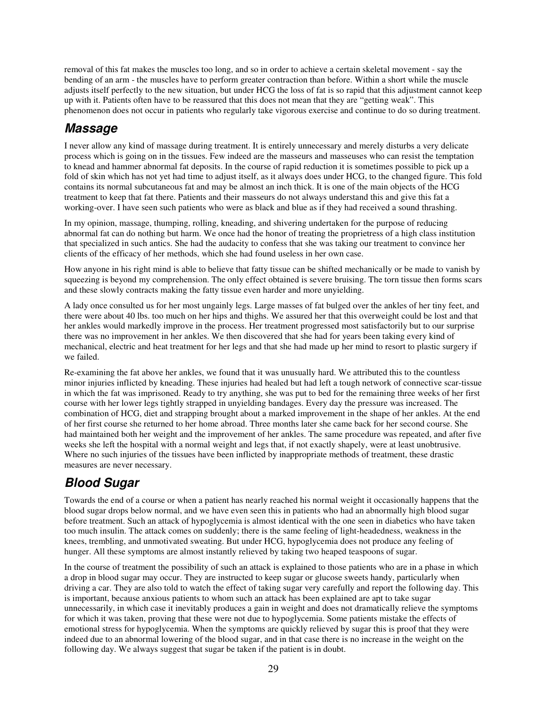removal of this fat makes the muscles too long, and so in order to achieve a certain skeletal movement - say the bending of an arm - the muscles have to perform greater contraction than before. Within a short while the muscle adjusts itself perfectly to the new situation, but under HCG the loss of fat is so rapid that this adjustment cannot keep up with it. Patients often have to be reassured that this does not mean that they are "getting weak". This phenomenon does not occur in patients who regularly take vigorous exercise and continue to do so during treatment.

#### **Massage**

I never allow any kind of massage during treatment. It is entirely unnecessary and merely disturbs a very delicate process which is going on in the tissues. Few indeed are the masseurs and masseuses who can resist the temptation to knead and hammer abnormal fat deposits. In the course of rapid reduction it is sometimes possible to pick up a fold of skin which has not yet had time to adjust itself, as it always does under HCG, to the changed figure. This fold contains its normal subcutaneous fat and may be almost an inch thick. It is one of the main objects of the HCG treatment to keep that fat there. Patients and their masseurs do not always understand this and give this fat a working-over. I have seen such patients who were as black and blue as if they had received a sound thrashing.

In my opinion, massage, thumping, rolling, kneading, and shivering undertaken for the purpose of reducing abnormal fat can do nothing but harm. We once had the honor of treating the proprietress of a high class institution that specialized in such antics. She had the audacity to confess that she was taking our treatment to convince her clients of the efficacy of her methods, which she had found useless in her own case.

How anyone in his right mind is able to believe that fatty tissue can be shifted mechanically or be made to vanish by squeezing is beyond my comprehension. The only effect obtained is severe bruising. The torn tissue then forms scars and these slowly contracts making the fatty tissue even harder and more unyielding.

A lady once consulted us for her most ungainly legs. Large masses of fat bulged over the ankles of her tiny feet, and there were about 40 lbs. too much on her hips and thighs. We assured her that this overweight could be lost and that her ankles would markedly improve in the process. Her treatment progressed most satisfactorily but to our surprise there was no improvement in her ankles. We then discovered that she had for years been taking every kind of mechanical, electric and heat treatment for her legs and that she had made up her mind to resort to plastic surgery if we failed.

Re-examining the fat above her ankles, we found that it was unusually hard. We attributed this to the countless minor injuries inflicted by kneading. These injuries had healed but had left a tough network of connective scar-tissue in which the fat was imprisoned. Ready to try anything, she was put to bed for the remaining three weeks of her first course with her lower legs tightly strapped in unyielding bandages. Every day the pressure was increased. The combination of HCG, diet and strapping brought about a marked improvement in the shape of her ankles. At the end of her first course she returned to her home abroad. Three months later she came back for her second course. She had maintained both her weight and the improvement of her ankles. The same procedure was repeated, and after five weeks she left the hospital with a normal weight and legs that, if not exactly shapely, were at least unobtrusive. Where no such injuries of the tissues have been inflicted by inappropriate methods of treatment, these drastic measures are never necessary.

# **Blood Sugar**

Towards the end of a course or when a patient has nearly reached his normal weight it occasionally happens that the blood sugar drops below normal, and we have even seen this in patients who had an abnormally high blood sugar before treatment. Such an attack of hypoglycemia is almost identical with the one seen in diabetics who have taken too much insulin. The attack comes on suddenly; there is the same feeling of light-headedness, weakness in the knees, trembling, and unmotivated sweating. But under HCG, hypoglycemia does not produce any feeling of hunger. All these symptoms are almost instantly relieved by taking two heaped teaspoons of sugar.

In the course of treatment the possibility of such an attack is explained to those patients who are in a phase in which a drop in blood sugar may occur. They are instructed to keep sugar or glucose sweets handy, particularly when driving a car. They are also told to watch the effect of taking sugar very carefully and report the following day. This is important, because anxious patients to whom such an attack has been explained are apt to take sugar unnecessarily, in which case it inevitably produces a gain in weight and does not dramatically relieve the symptoms for which it was taken, proving that these were not due to hypoglycemia. Some patients mistake the effects of emotional stress for hypoglycemia. When the symptoms are quickly relieved by sugar this is proof that they were indeed due to an abnormal lowering of the blood sugar, and in that case there is no increase in the weight on the following day. We always suggest that sugar be taken if the patient is in doubt.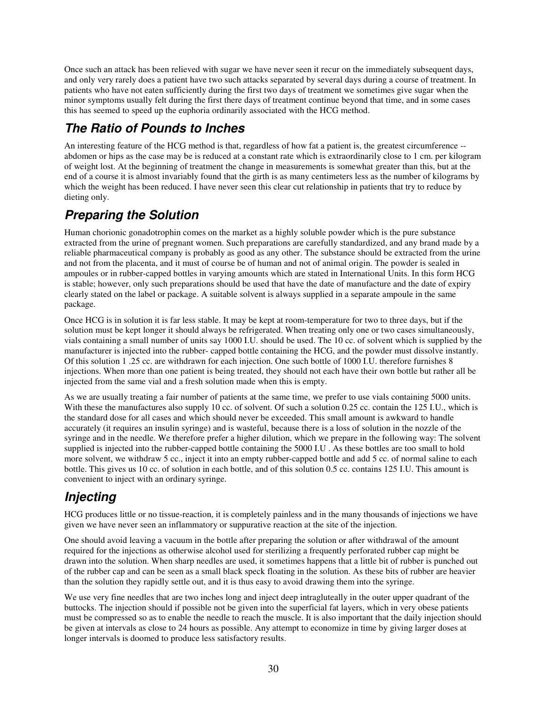Once such an attack has been relieved with sugar we have never seen it recur on the immediately subsequent days, and only very rarely does a patient have two such attacks separated by several days during a course of treatment. In patients who have not eaten sufficiently during the first two days of treatment we sometimes give sugar when the minor symptoms usually felt during the first there days of treatment continue beyond that time, and in some cases this has seemed to speed up the euphoria ordinarily associated with the HCG method.

# **The Ratio of Pounds to Inches**

An interesting feature of the HCG method is that, regardless of how fat a patient is, the greatest circumference - abdomen or hips as the case may be is reduced at a constant rate which is extraordinarily close to 1 cm. per kilogram of weight lost. At the beginning of treatment the change in measurements is somewhat greater than this, but at the end of a course it is almost invariably found that the girth is as many centimeters less as the number of kilograms by which the weight has been reduced. I have never seen this clear cut relationship in patients that try to reduce by dieting only.

# **Preparing the Solution**

Human chorionic gonadotrophin comes on the market as a highly soluble powder which is the pure substance extracted from the urine of pregnant women. Such preparations are carefully standardized, and any brand made by a reliable pharmaceutical company is probably as good as any other. The substance should be extracted from the urine and not from the placenta, and it must of course be of human and not of animal origin. The powder is sealed in ampoules or in rubber-capped bottles in varying amounts which are stated in International Units. In this form HCG is stable; however, only such preparations should be used that have the date of manufacture and the date of expiry clearly stated on the label or package. A suitable solvent is always supplied in a separate ampoule in the same package.

Once HCG is in solution it is far less stable. It may be kept at room-temperature for two to three days, but if the solution must be kept longer it should always be refrigerated. When treating only one or two cases simultaneously, vials containing a small number of units say 1000 I.U. should be used. The 10 cc. of solvent which is supplied by the manufacturer is injected into the rubber- capped bottle containing the HCG, and the powder must dissolve instantly. Of this solution 1 .25 cc. are withdrawn for each injection. One such bottle of 1000 I.U. therefore furnishes 8 injections. When more than one patient is being treated, they should not each have their own bottle but rather all be injected from the same vial and a fresh solution made when this is empty.

As we are usually treating a fair number of patients at the same time, we prefer to use vials containing 5000 units. With these the manufactures also supply 10 cc. of solvent. Of such a solution 0.25 cc. contain the 125 I.U., which is the standard dose for all cases and which should never be exceeded. This small amount is awkward to handle accurately (it requires an insulin syringe) and is wasteful, because there is a loss of solution in the nozzle of the syringe and in the needle. We therefore prefer a higher dilution, which we prepare in the following way: The solvent supplied is injected into the rubber-capped bottle containing the 5000 I.U . As these bottles are too small to hold more solvent, we withdraw 5 cc., inject it into an empty rubber-capped bottle and add 5 cc. of normal saline to each bottle. This gives us 10 cc. of solution in each bottle, and of this solution 0.5 cc. contains 125 I.U. This amount is convenient to inject with an ordinary syringe.

# **Injecting**

HCG produces little or no tissue-reaction, it is completely painless and in the many thousands of injections we have given we have never seen an inflammatory or suppurative reaction at the site of the injection.

One should avoid leaving a vacuum in the bottle after preparing the solution or after withdrawal of the amount required for the injections as otherwise alcohol used for sterilizing a frequently perforated rubber cap might be drawn into the solution. When sharp needles are used, it sometimes happens that a little bit of rubber is punched out of the rubber cap and can be seen as a small black speck floating in the solution. As these bits of rubber are heavier than the solution they rapidly settle out, and it is thus easy to avoid drawing them into the syringe.

We use very fine needles that are two inches long and inject deep intragluteally in the outer upper quadrant of the buttocks. The injection should if possible not be given into the superficial fat layers, which in very obese patients must be compressed so as to enable the needle to reach the muscle. It is also important that the daily injection should be given at intervals as close to 24 hours as possible. Any attempt to economize in time by giving larger doses at longer intervals is doomed to produce less satisfactory results.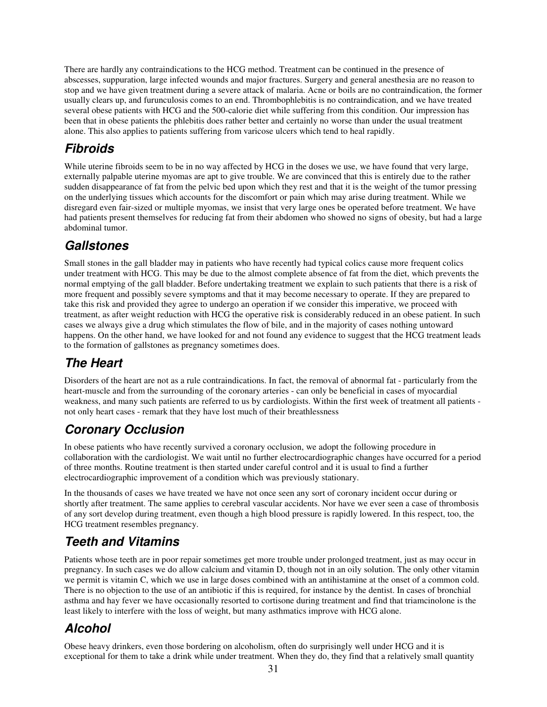There are hardly any contraindications to the HCG method. Treatment can be continued in the presence of abscesses, suppuration, large infected wounds and major fractures. Surgery and general anesthesia are no reason to stop and we have given treatment during a severe attack of malaria. Acne or boils are no contraindication, the former usually clears up, and furunculosis comes to an end. Thrombophlebitis is no contraindication, and we have treated several obese patients with HCG and the 500-calorie diet while suffering from this condition. Our impression has been that in obese patients the phlebitis does rather better and certainly no worse than under the usual treatment alone. This also applies to patients suffering from varicose ulcers which tend to heal rapidly.

### **Fibroids**

While uterine fibroids seem to be in no way affected by HCG in the doses we use, we have found that very large, externally palpable uterine myomas are apt to give trouble. We are convinced that this is entirely due to the rather sudden disappearance of fat from the pelvic bed upon which they rest and that it is the weight of the tumor pressing on the underlying tissues which accounts for the discomfort or pain which may arise during treatment. While we disregard even fair-sized or multiple myomas, we insist that very large ones be operated before treatment. We have had patients present themselves for reducing fat from their abdomen who showed no signs of obesity, but had a large abdominal tumor.

#### **Gallstones**

Small stones in the gall bladder may in patients who have recently had typical colics cause more frequent colics under treatment with HCG. This may be due to the almost complete absence of fat from the diet, which prevents the normal emptying of the gall bladder. Before undertaking treatment we explain to such patients that there is a risk of more frequent and possibly severe symptoms and that it may become necessary to operate. If they are prepared to take this risk and provided they agree to undergo an operation if we consider this imperative, we proceed with treatment, as after weight reduction with HCG the operative risk is considerably reduced in an obese patient. In such cases we always give a drug which stimulates the flow of bile, and in the majority of cases nothing untoward happens. On the other hand, we have looked for and not found any evidence to suggest that the HCG treatment leads to the formation of gallstones as pregnancy sometimes does.

### **The Heart**

Disorders of the heart are not as a rule contraindications. In fact, the removal of abnormal fat - particularly from the heart-muscle and from the surrounding of the coronary arteries - can only be beneficial in cases of myocardial weakness, and many such patients are referred to us by cardiologists. Within the first week of treatment all patients not only heart cases - remark that they have lost much of their breathlessness

### **Coronary Occlusion**

In obese patients who have recently survived a coronary occlusion, we adopt the following procedure in collaboration with the cardiologist. We wait until no further electrocardiographic changes have occurred for a period of three months. Routine treatment is then started under careful control and it is usual to find a further electrocardiographic improvement of a condition which was previously stationary.

In the thousands of cases we have treated we have not once seen any sort of coronary incident occur during or shortly after treatment. The same applies to cerebral vascular accidents. Nor have we ever seen a case of thrombosis of any sort develop during treatment, even though a high blood pressure is rapidly lowered. In this respect, too, the HCG treatment resembles pregnancy.

### **Teeth and Vitamins**

Patients whose teeth are in poor repair sometimes get more trouble under prolonged treatment, just as may occur in pregnancy. In such cases we do allow calcium and vitamin D, though not in an oily solution. The only other vitamin we permit is vitamin C, which we use in large doses combined with an antihistamine at the onset of a common cold. There is no objection to the use of an antibiotic if this is required, for instance by the dentist. In cases of bronchial asthma and hay fever we have occasionally resorted to cortisone during treatment and find that triamcinolone is the least likely to interfere with the loss of weight, but many asthmatics improve with HCG alone.

#### **Alcohol**

Obese heavy drinkers, even those bordering on alcoholism, often do surprisingly well under HCG and it is exceptional for them to take a drink while under treatment. When they do, they find that a relatively small quantity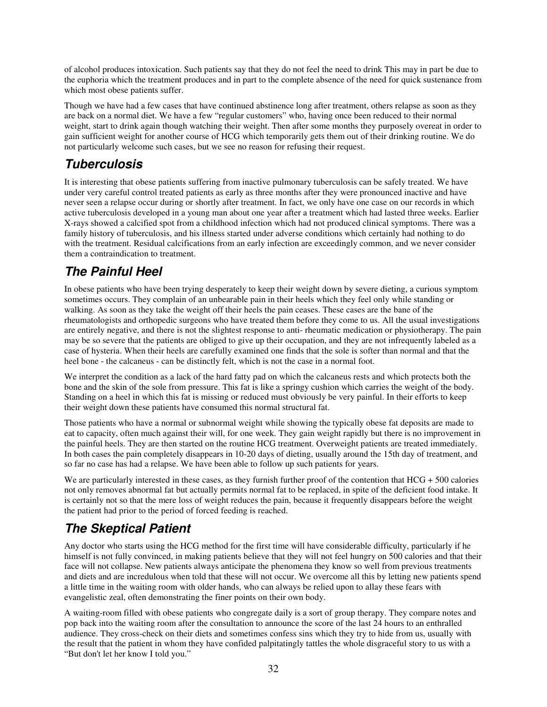of alcohol produces intoxication. Such patients say that they do not feel the need to drink This may in part be due to the euphoria which the treatment produces and in part to the complete absence of the need for quick sustenance from which most obese patients suffer.

Though we have had a few cases that have continued abstinence long after treatment, others relapse as soon as they are back on a normal diet. We have a few "regular customers" who, having once been reduced to their normal weight, start to drink again though watching their weight. Then after some months they purposely overeat in order to gain sufficient weight for another course of HCG which temporarily gets them out of their drinking routine. We do not particularly welcome such cases, but we see no reason for refusing their request.

#### **Tuberculosis**

It is interesting that obese patients suffering from inactive pulmonary tuberculosis can be safely treated. We have under very careful control treated patients as early as three months after they were pronounced inactive and have never seen a relapse occur during or shortly after treatment. In fact, we only have one case on our records in which active tuberculosis developed in a young man about one year after a treatment which had lasted three weeks. Earlier X-rays showed a calcified spot from a childhood infection which had not produced clinical symptoms. There was a family history of tuberculosis, and his illness started under adverse conditions which certainly had nothing to do with the treatment. Residual calcifications from an early infection are exceedingly common, and we never consider them a contraindication to treatment.

# **The Painful Heel**

In obese patients who have been trying desperately to keep their weight down by severe dieting, a curious symptom sometimes occurs. They complain of an unbearable pain in their heels which they feel only while standing or walking. As soon as they take the weight off their heels the pain ceases. These cases are the bane of the rheumatologists and orthopedic surgeons who have treated them before they come to us. All the usual investigations are entirely negative, and there is not the slightest response to anti- rheumatic medication or physiotherapy. The pain may be so severe that the patients are obliged to give up their occupation, and they are not infrequently labeled as a case of hysteria. When their heels are carefully examined one finds that the sole is softer than normal and that the heel bone - the calcaneus - can be distinctly felt, which is not the case in a normal foot.

We interpret the condition as a lack of the hard fatty pad on which the calcaneus rests and which protects both the bone and the skin of the sole from pressure. This fat is like a springy cushion which carries the weight of the body. Standing on a heel in which this fat is missing or reduced must obviously be very painful. In their efforts to keep their weight down these patients have consumed this normal structural fat.

Those patients who have a normal or subnormal weight while showing the typically obese fat deposits are made to eat to capacity, often much against their will, for one week. They gain weight rapidly but there is no improvement in the painful heels. They are then started on the routine HCG treatment. Overweight patients are treated immediately. In both cases the pain completely disappears in 10-20 days of dieting, usually around the 15th day of treatment, and so far no case has had a relapse. We have been able to follow up such patients for years.

We are particularly interested in these cases, as they furnish further proof of the contention that HCG + 500 calories not only removes abnormal fat but actually permits normal fat to be replaced, in spite of the deficient food intake. It is certainly not so that the mere loss of weight reduces the pain, because it frequently disappears before the weight the patient had prior to the period of forced feeding is reached.

### **The Skeptical Patient**

Any doctor who starts using the HCG method for the first time will have considerable difficulty, particularly if he himself is not fully convinced, in making patients believe that they will not feel hungry on 500 calories and that their face will not collapse. New patients always anticipate the phenomena they know so well from previous treatments and diets and are incredulous when told that these will not occur. We overcome all this by letting new patients spend a little time in the waiting room with older hands, who can always be relied upon to allay these fears with evangelistic zeal, often demonstrating the finer points on their own body.

A waiting-room filled with obese patients who congregate daily is a sort of group therapy. They compare notes and pop back into the waiting room after the consultation to announce the score of the last 24 hours to an enthralled audience. They cross-check on their diets and sometimes confess sins which they try to hide from us, usually with the result that the patient in whom they have confided palpitatingly tattles the whole disgraceful story to us with a "But don't let her know I told you."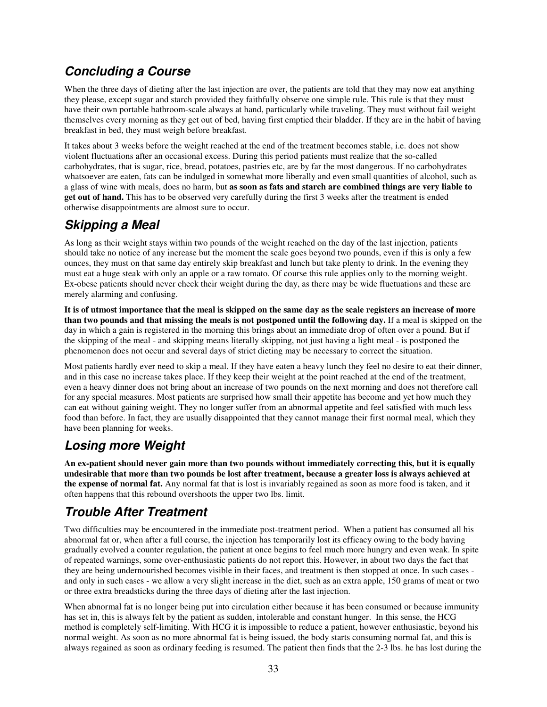### **Concluding a Course**

When the three days of dieting after the last injection are over, the patients are told that they may now eat anything they please, except sugar and starch provided they faithfully observe one simple rule. This rule is that they must have their own portable bathroom-scale always at hand, particularly while traveling. They must without fail weight themselves every morning as they get out of bed, having first emptied their bladder. If they are in the habit of having breakfast in bed, they must weigh before breakfast.

It takes about 3 weeks before the weight reached at the end of the treatment becomes stable, i.e. does not show violent fluctuations after an occasional excess. During this period patients must realize that the so-called carbohydrates, that is sugar, rice, bread, potatoes, pastries etc, are by far the most dangerous. If no carbohydrates whatsoever are eaten, fats can be indulged in somewhat more liberally and even small quantities of alcohol, such as a glass of wine with meals, does no harm, but **as soon as fats and starch are combined things are very liable to get out of hand.** This has to be observed very carefully during the first 3 weeks after the treatment is ended otherwise disappointments are almost sure to occur.

# **Skipping a Meal**

As long as their weight stays within two pounds of the weight reached on the day of the last injection, patients should take no notice of any increase but the moment the scale goes beyond two pounds, even if this is only a few ounces, they must on that same day entirely skip breakfast and lunch but take plenty to drink. In the evening they must eat a huge steak with only an apple or a raw tomato. Of course this rule applies only to the morning weight. Ex-obese patients should never check their weight during the day, as there may be wide fluctuations and these are merely alarming and confusing.

**It is of utmost importance that the meal is skipped on the same day as the scale registers an increase of more than two pounds and that missing the meals is not postponed until the following day.** If a meal is skipped on the day in which a gain is registered in the morning this brings about an immediate drop of often over a pound. But if the skipping of the meal - and skipping means literally skipping, not just having a light meal - is postponed the phenomenon does not occur and several days of strict dieting may be necessary to correct the situation.

Most patients hardly ever need to skip a meal. If they have eaten a heavy lunch they feel no desire to eat their dinner, and in this case no increase takes place. If they keep their weight at the point reached at the end of the treatment, even a heavy dinner does not bring about an increase of two pounds on the next morning and does not therefore call for any special measures. Most patients are surprised how small their appetite has become and yet how much they can eat without gaining weight. They no longer suffer from an abnormal appetite and feel satisfied with much less food than before. In fact, they are usually disappointed that they cannot manage their first normal meal, which they have been planning for weeks.

# **Losing more Weight**

**An ex-patient should never gain more than two pounds without immediately correcting this, but it is equally undesirable that more than two pounds be lost after treatment, because a greater loss is always achieved at the expense of normal fat.** Any normal fat that is lost is invariably regained as soon as more food is taken, and it often happens that this rebound overshoots the upper two lbs. limit.

# **Trouble After Treatment**

Two difficulties may be encountered in the immediate post-treatment period. When a patient has consumed all his abnormal fat or, when after a full course, the injection has temporarily lost its efficacy owing to the body having gradually evolved a counter regulation, the patient at once begins to feel much more hungry and even weak. In spite of repeated warnings, some over-enthusiastic patients do not report this. However, in about two days the fact that they are being undernourished becomes visible in their faces, and treatment is then stopped at once. In such cases and only in such cases - we allow a very slight increase in the diet, such as an extra apple, 150 grams of meat or two or three extra breadsticks during the three days of dieting after the last injection.

When abnormal fat is no longer being put into circulation either because it has been consumed or because immunity has set in, this is always felt by the patient as sudden, intolerable and constant hunger. In this sense, the HCG method is completely self-limiting. With HCG it is impossible to reduce a patient, however enthusiastic, beyond his normal weight. As soon as no more abnormal fat is being issued, the body starts consuming normal fat, and this is always regained as soon as ordinary feeding is resumed. The patient then finds that the 2-3 lbs. he has lost during the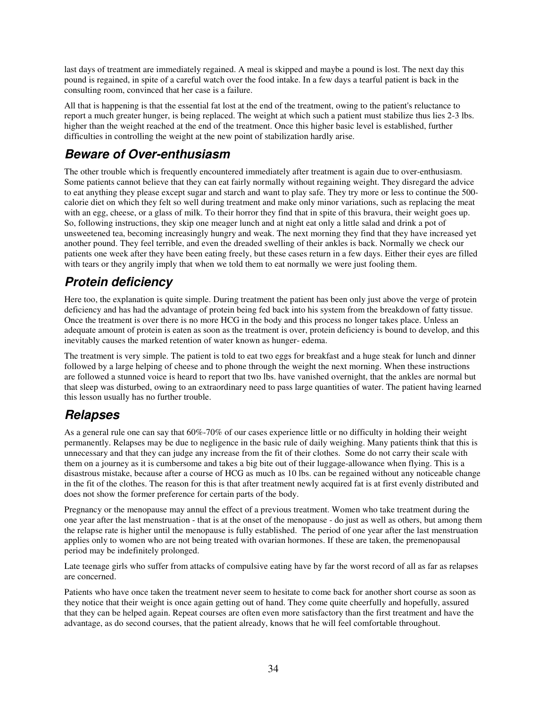last days of treatment are immediately regained. A meal is skipped and maybe a pound is lost. The next day this pound is regained, in spite of a careful watch over the food intake. In a few days a tearful patient is back in the consulting room, convinced that her case is a failure.

All that is happening is that the essential fat lost at the end of the treatment, owing to the patient's reluctance to report a much greater hunger, is being replaced. The weight at which such a patient must stabilize thus lies 2-3 lbs. higher than the weight reached at the end of the treatment. Once this higher basic level is established, further difficulties in controlling the weight at the new point of stabilization hardly arise.

#### **Beware of Over-enthusiasm**

The other trouble which is frequently encountered immediately after treatment is again due to over-enthusiasm. Some patients cannot believe that they can eat fairly normally without regaining weight. They disregard the advice to eat anything they please except sugar and starch and want to play safe. They try more or less to continue the 500 calorie diet on which they felt so well during treatment and make only minor variations, such as replacing the meat with an egg, cheese, or a glass of milk. To their horror they find that in spite of this bravura, their weight goes up. So, following instructions, they skip one meager lunch and at night eat only a little salad and drink a pot of unsweetened tea, becoming increasingly hungry and weak. The next morning they find that they have increased yet another pound. They feel terrible, and even the dreaded swelling of their ankles is back. Normally we check our patients one week after they have been eating freely, but these cases return in a few days. Either their eyes are filled with tears or they angrily imply that when we told them to eat normally we were just fooling them.

#### **Protein deficiency**

Here too, the explanation is quite simple. During treatment the patient has been only just above the verge of protein deficiency and has had the advantage of protein being fed back into his system from the breakdown of fatty tissue. Once the treatment is over there is no more HCG in the body and this process no longer takes place. Unless an adequate amount of protein is eaten as soon as the treatment is over, protein deficiency is bound to develop, and this inevitably causes the marked retention of water known as hunger- edema.

The treatment is very simple. The patient is told to eat two eggs for breakfast and a huge steak for lunch and dinner followed by a large helping of cheese and to phone through the weight the next morning. When these instructions are followed a stunned voice is heard to report that two lbs. have vanished overnight, that the ankles are normal but that sleep was disturbed, owing to an extraordinary need to pass large quantities of water. The patient having learned this lesson usually has no further trouble.

#### **Relapses**

As a general rule one can say that 60%-70% of our cases experience little or no difficulty in holding their weight permanently. Relapses may be due to negligence in the basic rule of daily weighing. Many patients think that this is unnecessary and that they can judge any increase from the fit of their clothes. Some do not carry their scale with them on a journey as it is cumbersome and takes a big bite out of their luggage-allowance when flying. This is a disastrous mistake, because after a course of HCG as much as 10 lbs. can be regained without any noticeable change in the fit of the clothes. The reason for this is that after treatment newly acquired fat is at first evenly distributed and does not show the former preference for certain parts of the body.

Pregnancy or the menopause may annul the effect of a previous treatment. Women who take treatment during the one year after the last menstruation - that is at the onset of the menopause - do just as well as others, but among them the relapse rate is higher until the menopause is fully established. The period of one year after the last menstruation applies only to women who are not being treated with ovarian hormones. If these are taken, the premenopausal period may be indefinitely prolonged.

Late teenage girls who suffer from attacks of compulsive eating have by far the worst record of all as far as relapses are concerned.

Patients who have once taken the treatment never seem to hesitate to come back for another short course as soon as they notice that their weight is once again getting out of hand. They come quite cheerfully and hopefully, assured that they can be helped again. Repeat courses are often even more satisfactory than the first treatment and have the advantage, as do second courses, that the patient already, knows that he will feel comfortable throughout.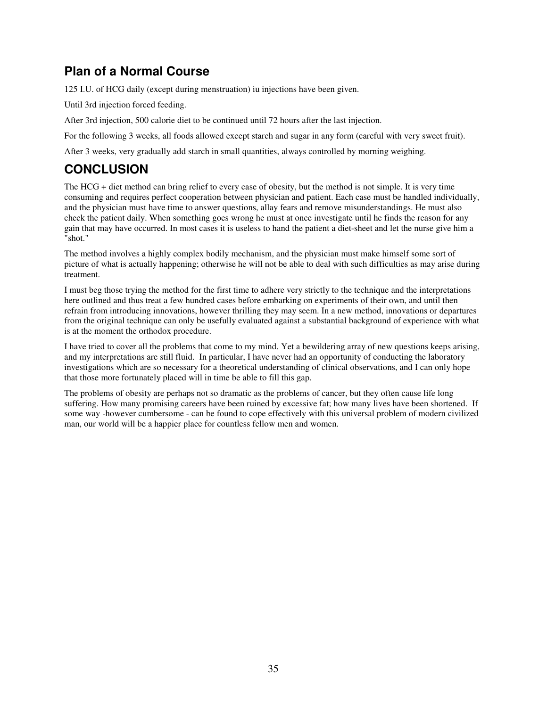#### **Plan of a Normal Course**

125 I.U. of HCG daily (except during menstruation) iu injections have been given.

Until 3rd injection forced feeding.

After 3rd injection, 500 calorie diet to be continued until 72 hours after the last injection.

For the following 3 weeks, all foods allowed except starch and sugar in any form (careful with very sweet fruit).

After 3 weeks, very gradually add starch in small quantities, always controlled by morning weighing.

# **CONCLUSION**

The HCG + diet method can bring relief to every case of obesity, but the method is not simple. It is very time consuming and requires perfect cooperation between physician and patient. Each case must be handled individually, and the physician must have time to answer questions, allay fears and remove misunderstandings. He must also check the patient daily. When something goes wrong he must at once investigate until he finds the reason for any gain that may have occurred. In most cases it is useless to hand the patient a diet-sheet and let the nurse give him a "shot."

The method involves a highly complex bodily mechanism, and the physician must make himself some sort of picture of what is actually happening; otherwise he will not be able to deal with such difficulties as may arise during treatment.

I must beg those trying the method for the first time to adhere very strictly to the technique and the interpretations here outlined and thus treat a few hundred cases before embarking on experiments of their own, and until then refrain from introducing innovations, however thrilling they may seem. In a new method, innovations or departures from the original technique can only be usefully evaluated against a substantial background of experience with what is at the moment the orthodox procedure.

I have tried to cover all the problems that come to my mind. Yet a bewildering array of new questions keeps arising, and my interpretations are still fluid. In particular, I have never had an opportunity of conducting the laboratory investigations which are so necessary for a theoretical understanding of clinical observations, and I can only hope that those more fortunately placed will in time be able to fill this gap.

The problems of obesity are perhaps not so dramatic as the problems of cancer, but they often cause life long suffering. How many promising careers have been ruined by excessive fat; how many lives have been shortened. If some way -however cumbersome - can be found to cope effectively with this universal problem of modern civilized man, our world will be a happier place for countless fellow men and women.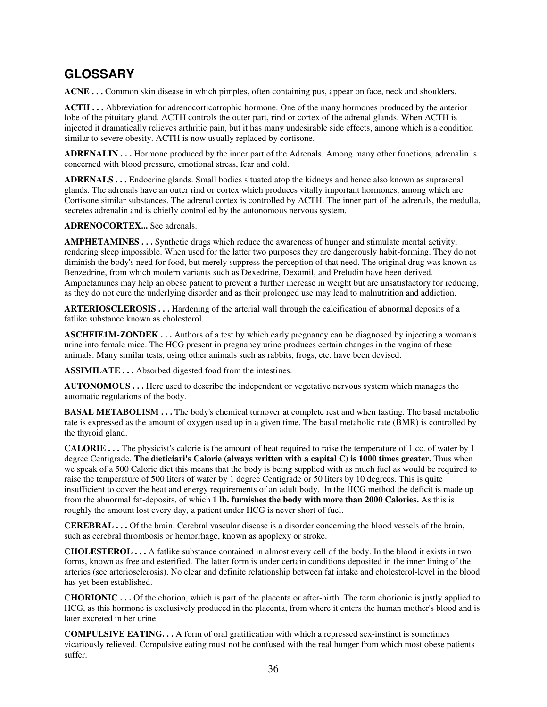#### **GLOSSARY**

**ACNE . . .** Common skin disease in which pimples, often containing pus, appear on face, neck and shoulders.

**ACTH . . .** Abbreviation for adrenocorticotrophic hormone. One of the many hormones produced by the anterior lobe of the pituitary gland. ACTH controls the outer part, rind or cortex of the adrenal glands. When ACTH is injected it dramatically relieves arthritic pain, but it has many undesirable side effects, among which is a condition similar to severe obesity. ACTH is now usually replaced by cortisone.

**ADRENALIN . . .** Hormone produced by the inner part of the Adrenals. Among many other functions, adrenalin is concerned with blood pressure, emotional stress, fear and cold.

**ADRENALS . . .** Endocrine glands. Small bodies situated atop the kidneys and hence also known as suprarenal glands. The adrenals have an outer rind or cortex which produces vitally important hormones, among which are Cortisone similar substances. The adrenal cortex is controlled by ACTH. The inner part of the adrenals, the medulla, secretes adrenalin and is chiefly controlled by the autonomous nervous system.

#### **ADRENOCORTEX...** See adrenals.

**AMPHETAMINES . . .** Synthetic drugs which reduce the awareness of hunger and stimulate mental activity, rendering sleep impossible. When used for the latter two purposes they are dangerously habit-forming. They do not diminish the body's need for food, but merely suppress the perception of that need. The original drug was known as Benzedrine, from which modern variants such as Dexedrine, Dexamil, and Preludin have been derived. Amphetamines may help an obese patient to prevent a further increase in weight but are unsatisfactory for reducing, as they do not cure the underlying disorder and as their prolonged use may lead to malnutrition and addiction.

**ARTERIOSCLEROSIS . . .** Hardening of the arterial wall through the calcification of abnormal deposits of a fatlike substance known as cholesterol.

**ASCHFIE1M-ZONDEK . . .** Authors of a test by which early pregnancy can be diagnosed by injecting a woman's urine into female mice. The HCG present in pregnancy urine produces certain changes in the vagina of these animals. Many similar tests, using other animals such as rabbits, frogs, etc. have been devised.

**ASSIMILATE . . .** Absorbed digested food from the intestines.

**AUTONOMOUS . . .** Here used to describe the independent or vegetative nervous system which manages the automatic regulations of the body.

**BASAL METABOLISM ...** The body's chemical turnover at complete rest and when fasting. The basal metabolic rate is expressed as the amount of oxygen used up in a given time. The basal metabolic rate (BMR) is controlled by the thyroid gland.

**CALORIE . . .** The physicist's calorie is the amount of heat required to raise the temperature of 1 cc. of water by 1 degree Centigrade. **The dieticiari's Calorie (always written with a capital C) is 1000 times greater.** Thus when we speak of a 500 Calorie diet this means that the body is being supplied with as much fuel as would be required to raise the temperature of 500 liters of water by 1 degree Centigrade or 50 liters by 10 degrees. This is quite insufficient to cover the heat and energy requirements of an adult body. In the HCG method the deficit is made up from the abnormal fat-deposits, of which **1 lb. furnishes the body with more than 2000 Calories.** As this is roughly the amount lost every day, a patient under HCG is never short of fuel.

**CEREBRAL . . .** Of the brain. Cerebral vascular disease is a disorder concerning the blood vessels of the brain, such as cerebral thrombosis or hemorrhage, known as apoplexy or stroke.

**CHOLESTEROL . . .** A fatlike substance contained in almost every cell of the body. In the blood it exists in two forms, known as free and esterified. The latter form is under certain conditions deposited in the inner lining of the arteries (see arteriosclerosis). No clear and definite relationship between fat intake and cholesterol-level in the blood has yet been established.

**CHORIONIC . . .** Of the chorion, which is part of the placenta or after-birth. The term chorionic is justly applied to HCG, as this hormone is exclusively produced in the placenta, from where it enters the human mother's blood and is later excreted in her urine.

**COMPULSIVE EATING. . .** A form of oral gratification with which a repressed sex-instinct is sometimes vicariously relieved. Compulsive eating must not be confused with the real hunger from which most obese patients suffer.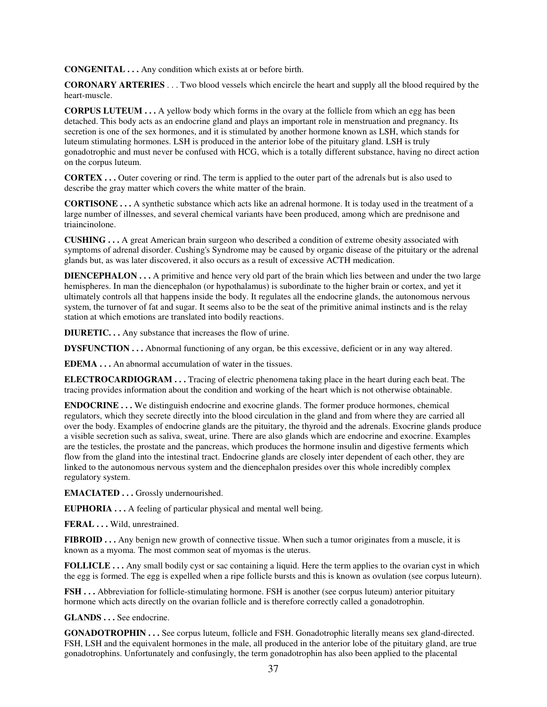**CONGENITAL . . .** Any condition which exists at or before birth.

**CORONARY ARTERIES** . . . Two blood vessels which encircle the heart and supply all the blood required by the heart-muscle.

**CORPUS LUTEUM . . .** A yellow body which forms in the ovary at the follicle from which an egg has been detached. This body acts as an endocrine gland and plays an important role in menstruation and pregnancy. Its secretion is one of the sex hormones, and it is stimulated by another hormone known as LSH, which stands for luteum stimulating hormones. LSH is produced in the anterior lobe of the pituitary gland. LSH is truly gonadotrophic and must never be confused with HCG, which is a totally different substance, having no direct action on the corpus luteum.

**CORTEX . . .** Outer covering or rind. The term is applied to the outer part of the adrenals but is also used to describe the gray matter which covers the white matter of the brain.

**CORTISONE . . .** A synthetic substance which acts like an adrenal hormone. It is today used in the treatment of a large number of illnesses, and several chemical variants have been produced, among which are prednisone and triaincinolone.

**CUSHING . . .** A great American brain surgeon who described a condition of extreme obesity associated with symptoms of adrenal disorder. Cushing's Syndrome may be caused by organic disease of the pituitary or the adrenal glands but, as was later discovered, it also occurs as a result of excessive ACTH medication.

**DIENCEPHALON . . .** A primitive and hence very old part of the brain which lies between and under the two large hemispheres. In man the diencephalon (or hypothalamus) is subordinate to the higher brain or cortex, and yet it ultimately controls all that happens inside the body. It regulates all the endocrine glands, the autonomous nervous system, the turnover of fat and sugar. It seems also to be the seat of the primitive animal instincts and is the relay station at which emotions are translated into bodily reactions.

**DIURETIC. . .** Any substance that increases the flow of urine.

**DYSFUNCTION . . .** Abnormal functioning of any organ, be this excessive, deficient or in any way altered.

**EDEMA . . .** An abnormal accumulation of water in the tissues.

**ELECTROCARDIOGRAM . . .** Tracing of electric phenomena taking place in the heart during each beat. The tracing provides information about the condition and working of the heart which is not otherwise obtainable.

**ENDOCRINE** . . . We distinguish endocrine and exocrine glands. The former produce hormones, chemical regulators, which they secrete directly into the blood circulation in the gland and from where they are carried all over the body. Examples of endocrine glands are the pituitary, the thyroid and the adrenals. Exocrine glands produce a visible secretion such as saliva, sweat, urine. There are also glands which are endocrine and exocrine. Examples are the testicles, the prostate and the pancreas, which produces the hormone insulin and digestive ferments which flow from the gland into the intestinal tract. Endocrine glands are closely inter dependent of each other, they are linked to the autonomous nervous system and the diencephalon presides over this whole incredibly complex regulatory system.

**EMACIATED . . .** Grossly undernourished.

**EUPHORIA . . .** A feeling of particular physical and mental well being.

**FERAL . . .** Wild, unrestrained.

**FIBROID** . . . Any benign new growth of connective tissue. When such a tumor originates from a muscle, it is known as a myoma. The most common seat of myomas is the uterus.

**FOLLICLE**... Any small bodily cyst or sac containing a liquid. Here the term applies to the ovarian cyst in which the egg is formed. The egg is expelled when a ripe follicle bursts and this is known as ovulation (see corpus luteurn).

**FSH** . . . Abbreviation for follicle-stimulating hormone. FSH is another (see corpus luteum) anterior pituitary hormone which acts directly on the ovarian follicle and is therefore correctly called a gonadotrophin.

**GLANDS . . .** See endocrine.

**GONADOTROPHIN . . .** See corpus luteum, follicle and FSH. Gonadotrophic literally means sex gland-directed. FSH, LSH and the equivalent hormones in the male, all produced in the anterior lobe of the pituitary gland, are true gonadotrophins. Unfortunately and confusingly, the term gonadotrophin has also been applied to the placental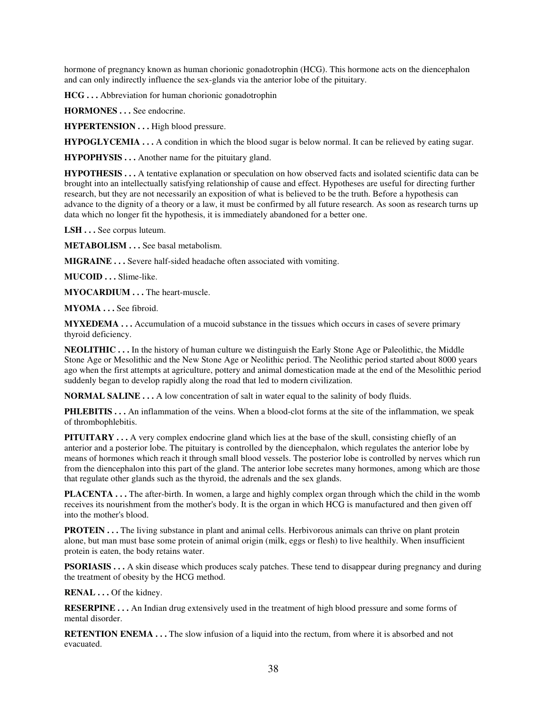hormone of pregnancy known as human chorionic gonadotrophin (HCG). This hormone acts on the diencephalon and can only indirectly influence the sex-glands via the anterior lobe of the pituitary.

**HCG . . .** Abbreviation for human chorionic gonadotrophin

**HORMONES . . .** See endocrine.

**HYPERTENSION . . .** High blood pressure.

**HYPOGLYCEMIA . . .** A condition in which the blood sugar is below normal. It can be relieved by eating sugar.

**HYPOPHYSIS . . .** Another name for the pituitary gland.

**HYPOTHESIS . . .** A tentative explanation or speculation on how observed facts and isolated scientific data can be brought into an intellectually satisfying relationship of cause and effect. Hypotheses are useful for directing further research, but they are not necessarily an exposition of what is believed to be the truth. Before a hypothesis can advance to the dignity of a theory or a law, it must be confirmed by all future research. As soon as research turns up data which no longer fit the hypothesis, it is immediately abandoned for a better one.

**LSH . . .** See corpus luteum.

**METABOLISM . . .** See basal metabolism.

**MIGRAINE . . .** Severe half-sided headache often associated with vomiting.

**MUCOID . . .** Slime-like.

**MYOCARDIUM . . .** The heart-muscle.

**MYOMA . . .** See fibroid.

**MYXEDEMA . . .** Accumulation of a mucoid substance in the tissues which occurs in cases of severe primary thyroid deficiency.

**NEOLITHIC . . .** In the history of human culture we distinguish the Early Stone Age or Paleolithic, the Middle Stone Age or Mesolithic and the New Stone Age or Neolithic period. The Neolithic period started about 8000 years ago when the first attempts at agriculture, pottery and animal domestication made at the end of the Mesolithic period suddenly began to develop rapidly along the road that led to modern civilization.

**NORMAL SALINE . . .** A low concentration of salt in water equal to the salinity of body fluids.

**PHLEBITIS** . . . An inflammation of the veins. When a blood-clot forms at the site of the inflammation, we speak of thrombophlebitis.

**PITUITARY** ... A very complex endocrine gland which lies at the base of the skull, consisting chiefly of an anterior and a posterior lobe. The pituitary is controlled by the diencephalon, which regulates the anterior lobe by means of hormones which reach it through small blood vessels. The posterior lobe is controlled by nerves which run from the diencephalon into this part of the gland. The anterior lobe secretes many hormones, among which are those that regulate other glands such as the thyroid, the adrenals and the sex glands.

**PLACENTA** . . . The after-birth. In women, a large and highly complex organ through which the child in the womb receives its nourishment from the mother's body. It is the organ in which HCG is manufactured and then given off into the mother's blood.

**PROTEIN** . . . The living substance in plant and animal cells. Herbivorous animals can thrive on plant protein alone, but man must base some protein of animal origin (milk, eggs or flesh) to live healthily. When insufficient protein is eaten, the body retains water.

**PSORIASIS . . .** A skin disease which produces scaly patches. These tend to disappear during pregnancy and during the treatment of obesity by the HCG method.

**RENAL . . .** Of the kidney.

**RESERPINE . . .** An Indian drug extensively used in the treatment of high blood pressure and some forms of mental disorder.

**RETENTION ENEMA . . .** The slow infusion of a liquid into the rectum, from where it is absorbed and not evacuated.